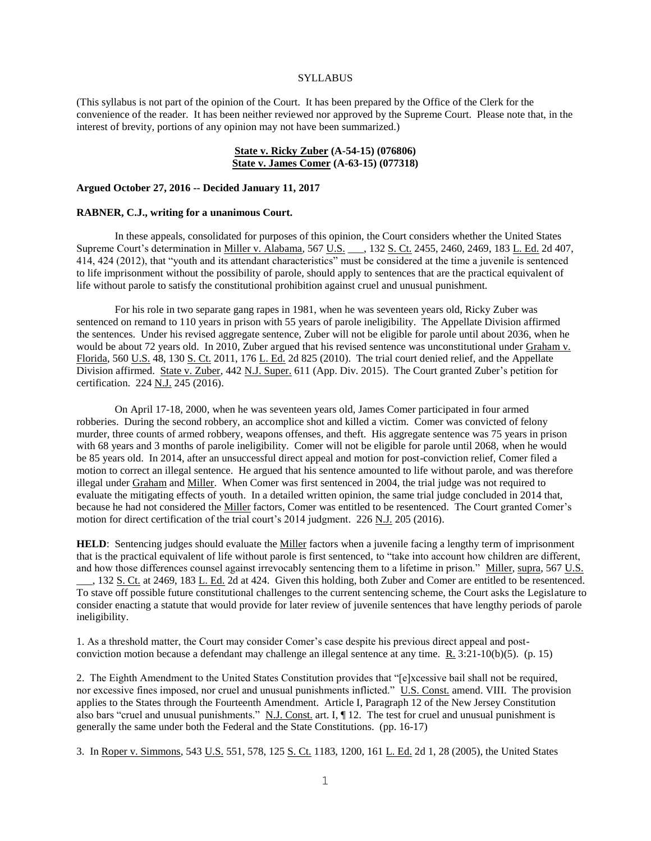#### **SYLLABUS**

(This syllabus is not part of the opinion of the Court. It has been prepared by the Office of the Clerk for the convenience of the reader. It has been neither reviewed nor approved by the Supreme Court. Please note that, in the interest of brevity, portions of any opinion may not have been summarized.)

# **State v. Ricky Zuber (A-54-15) (076806) State v. James Comer (A-63-15) (077318)**

#### **Argued October 27, 2016 -- Decided January 11, 2017**

#### **RABNER, C.J., writing for a unanimous Court.**

In these appeals, consolidated for purposes of this opinion, the Court considers whether the United States Supreme Court's determination in <u>Miller v. Alabama</u>, 567 U.S. \_\_\_, 132 S. Ct. 2455, 2460, 2469, 183 L. Ed. 2d 407, 414, 424 (2012), that "youth and its attendant characteristics" must be considered at the time a juvenile is sentenced to life imprisonment without the possibility of parole, should apply to sentences that are the practical equivalent of life without parole to satisfy the constitutional prohibition against cruel and unusual punishment.

For his role in two separate gang rapes in 1981, when he was seventeen years old, Ricky Zuber was sentenced on remand to 110 years in prison with 55 years of parole ineligibility. The Appellate Division affirmed the sentences. Under his revised aggregate sentence, Zuber will not be eligible for parole until about 2036, when he would be about 72 years old. In 2010, Zuber argued that his revised sentence was unconstitutional under Graham v. Florida, 560 U.S. 48, 130 S. Ct. 2011, 176 L. Ed. 2d 825 (2010). The trial court denied relief, and the Appellate Division affirmed. State v. Zuber, 442 N.J. Super. 611 (App. Div. 2015). The Court granted Zuber's petition for certification. 224 N.J. 245 (2016).

On April 17-18, 2000, when he was seventeen years old, James Comer participated in four armed robberies. During the second robbery, an accomplice shot and killed a victim. Comer was convicted of felony murder, three counts of armed robbery, weapons offenses, and theft. His aggregate sentence was 75 years in prison with 68 years and 3 months of parole ineligibility. Comer will not be eligible for parole until 2068, when he would be 85 years old. In 2014, after an unsuccessful direct appeal and motion for post-conviction relief, Comer filed a motion to correct an illegal sentence. He argued that his sentence amounted to life without parole, and was therefore illegal under Graham and Miller. When Comer was first sentenced in 2004, the trial judge was not required to evaluate the mitigating effects of youth. In a detailed written opinion, the same trial judge concluded in 2014 that, because he had not considered the Miller factors, Comer was entitled to be resentenced. The Court granted Comer's motion for direct certification of the trial court's 2014 judgment. 226 N.J. 205 (2016).

HELD: Sentencing judges should evaluate the **Miller** factors when a juvenile facing a lengthy term of imprisonment that is the practical equivalent of life without parole is first sentenced, to "take into account how children are different, and how those differences counsel against irrevocably sentencing them to a lifetime in prison." Miller, supra, 567 U.S. \_\_\_, 132 S. Ct. at 2469, 183 L. Ed. 2d at 424. Given this holding, both Zuber and Comer are entitled to be resentenced. To stave off possible future constitutional challenges to the current sentencing scheme, the Court asks the Legislature to consider enacting a statute that would provide for later review of juvenile sentences that have lengthy periods of parole ineligibility.

1. As a threshold matter, the Court may consider Comer's case despite his previous direct appeal and postconviction motion because a defendant may challenge an illegal sentence at any time. R. 3:21-10(b)(5). (p. 15)

2. The Eighth Amendment to the United States Constitution provides that "[e]xcessive bail shall not be required, nor excessive fines imposed, nor cruel and unusual punishments inflicted." U.S. Const. amend. VIII. The provision applies to the States through the Fourteenth Amendment. Article I, Paragraph 12 of the New Jersey Constitution also bars "cruel and unusual punishments." N.J. Const. art. I, ¶ 12. The test for cruel and unusual punishment is generally the same under both the Federal and the State Constitutions. (pp. 16-17)

3. In Roper v. Simmons, 543 U.S. 551, 578, 125 S. Ct. 1183, 1200, 161 L. Ed. 2d 1, 28 (2005), the United States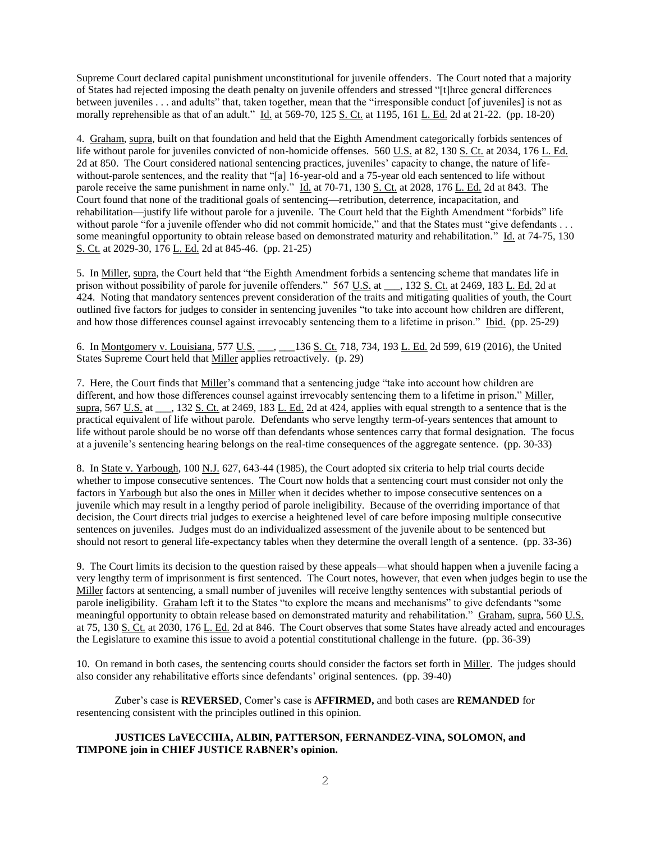Supreme Court declared capital punishment unconstitutional for juvenile offenders. The Court noted that a majority of States had rejected imposing the death penalty on juvenile offenders and stressed "[t]hree general differences between juveniles . . . and adults" that, taken together, mean that the "irresponsible conduct [of juveniles] is not as morally reprehensible as that of an adult." Id. at 569-70, 125 S. Ct. at 1195, 161 L. Ed. 2d at 21-22. (pp. 18-20)

4. Graham, supra, built on that foundation and held that the Eighth Amendment categorically forbids sentences of life without parole for juveniles convicted of non-homicide offenses. 560 U.S. at 82, 130 S. Ct. at 2034, 176 L. Ed. 2d at 850. The Court considered national sentencing practices, juveniles' capacity to change, the nature of lifewithout-parole sentences, and the reality that "[a] 16-year-old and a 75-year old each sentenced to life without parole receive the same punishment in name only." Id. at 70-71, 130 S. Ct. at 2028, 176 L. Ed. 2d at 843. The Court found that none of the traditional goals of sentencing—retribution, deterrence, incapacitation, and rehabilitation—justify life without parole for a juvenile. The Court held that the Eighth Amendment "forbids" life without parole "for a juvenile offender who did not commit homicide," and that the States must "give defendants . . . some meaningful opportunity to obtain release based on demonstrated maturity and rehabilitation." Id. at 74-75, 130 S. Ct. at 2029-30, 176 L. Ed. 2d at 845-46. (pp. 21-25)

5. In Miller, supra, the Court held that "the Eighth Amendment forbids a sentencing scheme that mandates life in prison without possibility of parole for juvenile offenders." 567 U.S. at \_\_\_, 132 <u>S. Ct.</u> at 2469, 183 L. Ed. 2d at 424. Noting that mandatory sentences prevent consideration of the traits and mitigating qualities of youth, the Court outlined five factors for judges to consider in sentencing juveniles "to take into account how children are different, and how those differences counsel against irrevocably sentencing them to a lifetime in prison." Ibid. (pp. 25-29)

6. In Montgomery v. Louisiana, 577 U.S. \_\_\_, \_\_\_136 S. Ct. 718, 734, 193 L. Ed. 2d 599, 619 (2016), the United States Supreme Court held that Miller applies retroactively. (p. 29)

7. Here, the Court finds that Miller's command that a sentencing judge "take into account how children are different, and how those differences counsel against irrevocably sentencing them to a lifetime in prison," Miller, supra, 567 U.S. at  $\Box$ , 132 S. Ct. at 2469, 183 L. Ed. 2d at 424, applies with equal strength to a sentence that is the practical equivalent of life without parole. Defendants who serve lengthy term-of-years sentences that amount to life without parole should be no worse off than defendants whose sentences carry that formal designation. The focus at a juvenile's sentencing hearing belongs on the real-time consequences of the aggregate sentence. (pp. 30-33)

8. In State v. Yarbough, 100 N.J. 627, 643-44 (1985), the Court adopted six criteria to help trial courts decide whether to impose consecutive sentences. The Court now holds that a sentencing court must consider not only the factors in Yarbough but also the ones in Miller when it decides whether to impose consecutive sentences on a juvenile which may result in a lengthy period of parole ineligibility. Because of the overriding importance of that decision, the Court directs trial judges to exercise a heightened level of care before imposing multiple consecutive sentences on juveniles. Judges must do an individualized assessment of the juvenile about to be sentenced but should not resort to general life-expectancy tables when they determine the overall length of a sentence. (pp. 33-36)

9. The Court limits its decision to the question raised by these appeals—what should happen when a juvenile facing a very lengthy term of imprisonment is first sentenced. The Court notes, however, that even when judges begin to use the Miller factors at sentencing, a small number of juveniles will receive lengthy sentences with substantial periods of parole ineligibility. Graham left it to the States "to explore the means and mechanisms" to give defendants "some meaningful opportunity to obtain release based on demonstrated maturity and rehabilitation." Graham, supra, 560 U.S. at 75, 130 S. Ct. at 2030, 176 L. Ed. 2d at 846. The Court observes that some States have already acted and encourages the Legislature to examine this issue to avoid a potential constitutional challenge in the future. (pp. 36-39)

10. On remand in both cases, the sentencing courts should consider the factors set forth in Miller. The judges should also consider any rehabilitative efforts since defendants' original sentences. (pp. 39-40)

Zuber's case is **REVERSED**, Comer's case is **AFFIRMED,** and both cases are **REMANDED** for resentencing consistent with the principles outlined in this opinion.

## **JUSTICES LaVECCHIA, ALBIN, PATTERSON, FERNANDEZ-VINA, SOLOMON, and TIMPONE join in CHIEF JUSTICE RABNER's opinion.**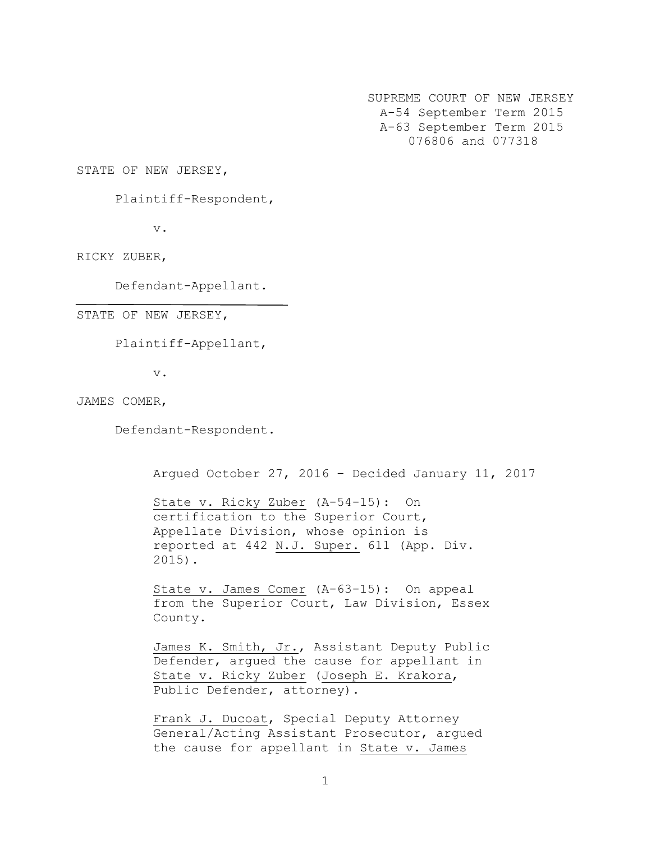SUPREME COURT OF NEW JERSEY A-54 September Term 2015 A-63 September Term 2015 076806 and 077318

STATE OF NEW JERSEY,

Plaintiff-Respondent,

v.

RICKY ZUBER,

Defendant-Appellant.

STATE OF NEW JERSEY,

Plaintiff-Appellant,

v.

JAMES COMER,

Defendant-Respondent.

Argued October 27, 2016 – Decided January 11, 2017

State v. Ricky Zuber (A-54-15): On certification to the Superior Court, Appellate Division, whose opinion is reported at 442 N.J. Super. 611 (App. Div. 2015).

State v. James Comer (A-63-15): On appeal from the Superior Court, Law Division, Essex County.

James K. Smith, Jr., Assistant Deputy Public Defender, argued the cause for appellant in State v. Ricky Zuber (Joseph E. Krakora, Public Defender, attorney).

Frank J. Ducoat, Special Deputy Attorney General/Acting Assistant Prosecutor, argued the cause for appellant in State v. James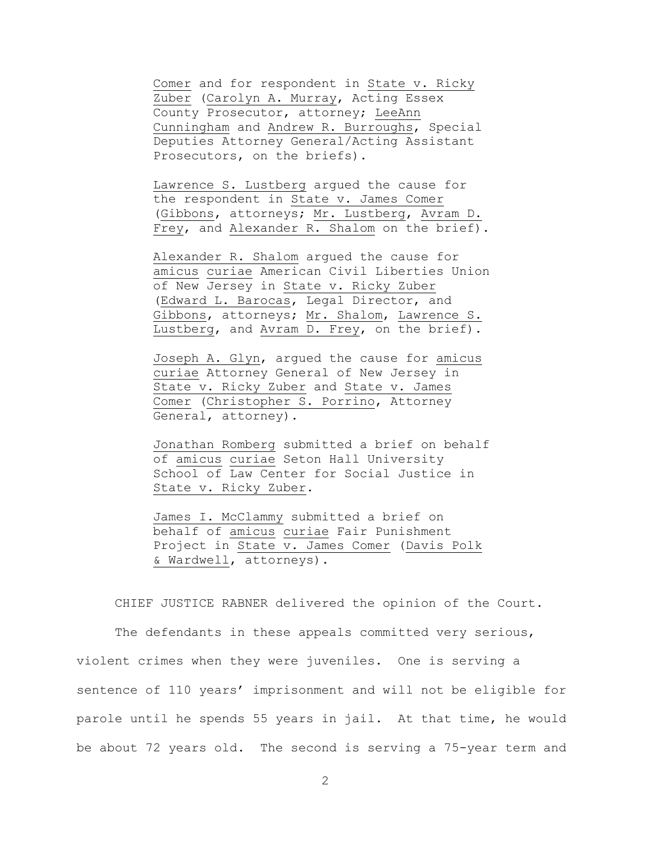Comer and for respondent in State v. Ricky Zuber (Carolyn A. Murray, Acting Essex County Prosecutor, attorney; LeeAnn Cunningham and Andrew R. Burroughs, Special Deputies Attorney General/Acting Assistant Prosecutors, on the briefs).

Lawrence S. Lustberg argued the cause for the respondent in State v. James Comer (Gibbons, attorneys; Mr. Lustberg, Avram D. Frey, and Alexander R. Shalom on the brief).

Alexander R. Shalom argued the cause for amicus curiae American Civil Liberties Union of New Jersey in State v. Ricky Zuber (Edward L. Barocas, Legal Director, and Gibbons, attorneys; Mr. Shalom, Lawrence S. Lustberg, and Avram D. Frey, on the brief).

Joseph A. Glyn, argued the cause for amicus curiae Attorney General of New Jersey in State v. Ricky Zuber and State v. James Comer (Christopher S. Porrino, Attorney General, attorney).

Jonathan Romberg submitted a brief on behalf of amicus curiae Seton Hall University School of Law Center for Social Justice in State v. Ricky Zuber.

James I. McClammy submitted a brief on behalf of amicus curiae Fair Punishment Project in State v. James Comer (Davis Polk & Wardwell, attorneys).

CHIEF JUSTICE RABNER delivered the opinion of the Court.

The defendants in these appeals committed very serious, violent crimes when they were juveniles. One is serving a sentence of 110 years' imprisonment and will not be eligible for parole until he spends 55 years in jail. At that time, he would be about 72 years old. The second is serving a 75-year term and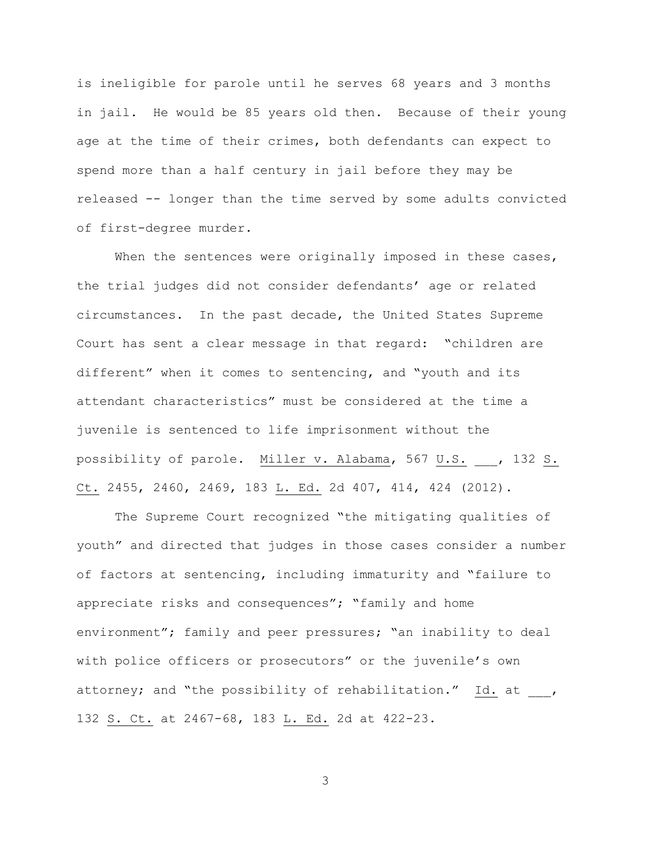is ineligible for parole until he serves 68 years and 3 months in jail. He would be 85 years old then. Because of their young age at the time of their crimes, both defendants can expect to spend more than a half century in jail before they may be released -- longer than the time served by some adults convicted of first-degree murder.

When the sentences were originally imposed in these cases, the trial judges did not consider defendants' age or related circumstances. In the past decade, the United States Supreme Court has sent a clear message in that regard: "children are different" when it comes to sentencing, and "youth and its attendant characteristics" must be considered at the time a juvenile is sentenced to life imprisonment without the possibility of parole. Miller v. Alabama, 567 U.S. \_\_\_, 132 S. Ct. 2455, 2460, 2469, 183 L. Ed. 2d 407, 414, 424 (2012).

The Supreme Court recognized "the mitigating qualities of youth" and directed that judges in those cases consider a number of factors at sentencing, including immaturity and "failure to appreciate risks and consequences"; "family and home environment"; family and peer pressures; "an inability to deal with police officers or prosecutors" or the juvenile's own attorney; and "the possibility of rehabilitation." Id. at , 132 S. Ct. at 2467-68, 183 L. Ed. 2d at 422-23.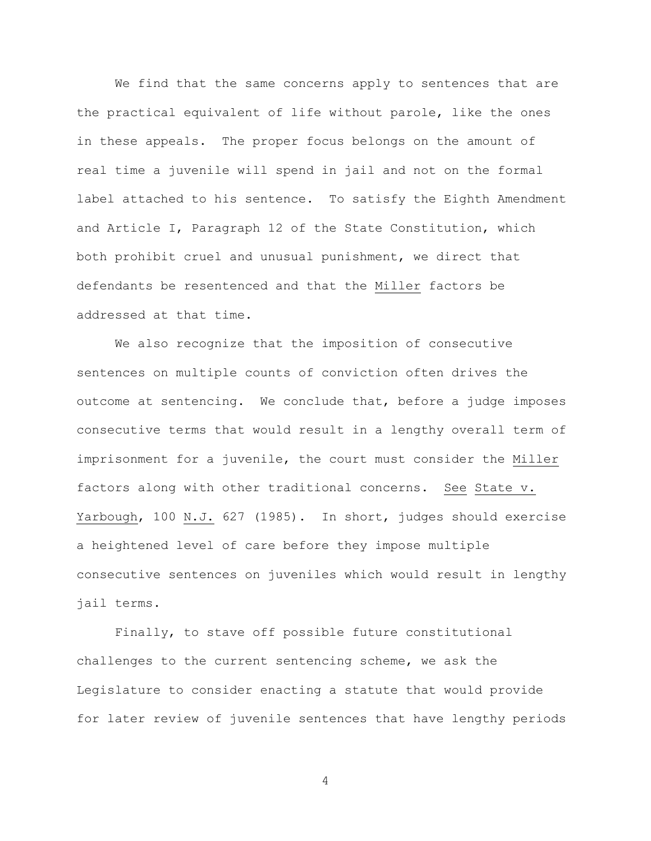We find that the same concerns apply to sentences that are the practical equivalent of life without parole, like the ones in these appeals. The proper focus belongs on the amount of real time a juvenile will spend in jail and not on the formal label attached to his sentence. To satisfy the Eighth Amendment and Article I, Paragraph 12 of the State Constitution, which both prohibit cruel and unusual punishment, we direct that defendants be resentenced and that the Miller factors be addressed at that time.

We also recognize that the imposition of consecutive sentences on multiple counts of conviction often drives the outcome at sentencing. We conclude that, before a judge imposes consecutive terms that would result in a lengthy overall term of imprisonment for a juvenile, the court must consider the Miller factors along with other traditional concerns. See State v. Yarbough, 100 N.J. 627 (1985). In short, judges should exercise a heightened level of care before they impose multiple consecutive sentences on juveniles which would result in lengthy jail terms.

Finally, to stave off possible future constitutional challenges to the current sentencing scheme, we ask the Legislature to consider enacting a statute that would provide for later review of juvenile sentences that have lengthy periods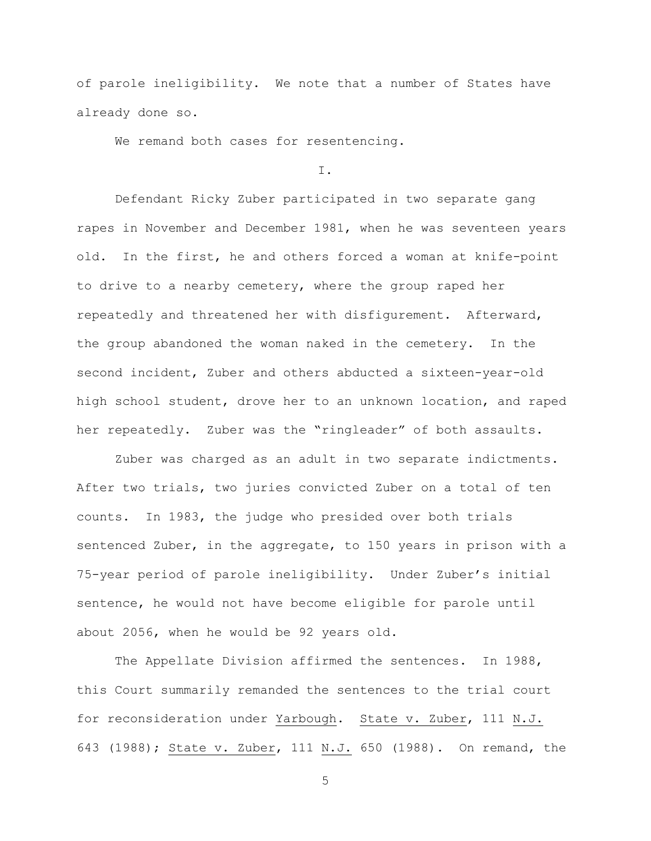of parole ineligibility. We note that a number of States have already done so.

We remand both cases for resentencing.

I.

Defendant Ricky Zuber participated in two separate gang rapes in November and December 1981, when he was seventeen years old. In the first, he and others forced a woman at knife-point to drive to a nearby cemetery, where the group raped her repeatedly and threatened her with disfigurement. Afterward, the group abandoned the woman naked in the cemetery. In the second incident, Zuber and others abducted a sixteen-year-old high school student, drove her to an unknown location, and raped her repeatedly. Zuber was the "ringleader" of both assaults.

Zuber was charged as an adult in two separate indictments. After two trials, two juries convicted Zuber on a total of ten counts. In 1983, the judge who presided over both trials sentenced Zuber, in the aggregate, to 150 years in prison with a 75-year period of parole ineligibility. Under Zuber's initial sentence, he would not have become eligible for parole until about 2056, when he would be 92 years old.

The Appellate Division affirmed the sentences. In 1988, this Court summarily remanded the sentences to the trial court for reconsideration under Yarbough. State v. Zuber, 111 N.J. 643 (1988); State v. Zuber, 111 N.J. 650 (1988). On remand, the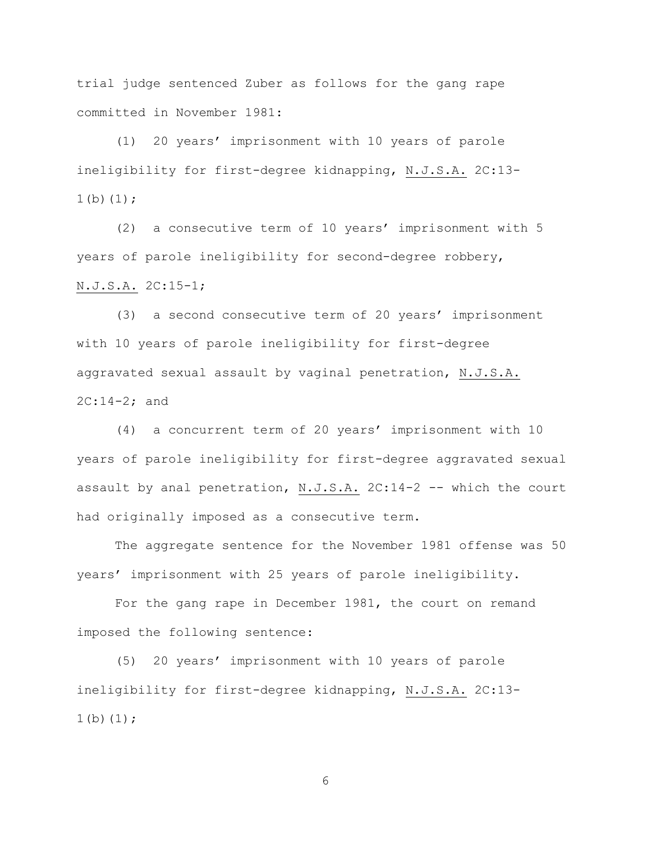trial judge sentenced Zuber as follows for the gang rape committed in November 1981:

(1) 20 years' imprisonment with 10 years of parole ineligibility for first-degree kidnapping, N.J.S.A. 2C:13-  $1(b)(1);$ 

(2) a consecutive term of 10 years' imprisonment with 5 years of parole ineligibility for second-degree robbery, N.J.S.A. 2C:15-1;

(3) a second consecutive term of 20 years' imprisonment with 10 years of parole ineligibility for first-degree aggravated sexual assault by vaginal penetration, N.J.S.A. 2C:14-2; and

(4) a concurrent term of 20 years' imprisonment with 10 years of parole ineligibility for first-degree aggravated sexual assault by anal penetration, N.J.S.A. 2C:14-2 -- which the court had originally imposed as a consecutive term.

The aggregate sentence for the November 1981 offense was 50 years' imprisonment with 25 years of parole ineligibility.

For the gang rape in December 1981, the court on remand imposed the following sentence:

(5) 20 years' imprisonment with 10 years of parole ineligibility for first-degree kidnapping, N.J.S.A. 2C:13-  $1(b)(1);$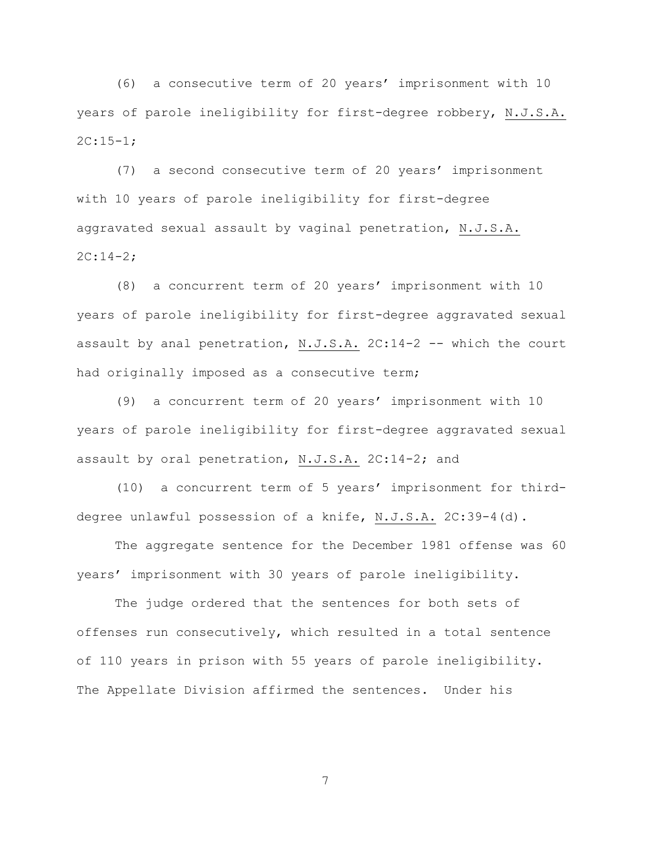(6) a consecutive term of 20 years' imprisonment with 10 years of parole ineligibility for first-degree robbery, N.J.S.A.  $2C:15-1;$ 

(7) a second consecutive term of 20 years' imprisonment with 10 years of parole ineligibility for first-degree aggravated sexual assault by vaginal penetration, N.J.S.A. 2C:14-2;

(8) a concurrent term of 20 years' imprisonment with 10 years of parole ineligibility for first-degree aggravated sexual assault by anal penetration, N.J.S.A. 2C:14-2 -- which the court had originally imposed as a consecutive term;

(9) a concurrent term of 20 years' imprisonment with 10 years of parole ineligibility for first-degree aggravated sexual assault by oral penetration, N.J.S.A. 2C:14-2; and

(10) a concurrent term of 5 years' imprisonment for thirddegree unlawful possession of a knife, N.J.S.A. 2C:39-4(d).

The aggregate sentence for the December 1981 offense was 60 years' imprisonment with 30 years of parole ineligibility.

The judge ordered that the sentences for both sets of offenses run consecutively, which resulted in a total sentence of 110 years in prison with 55 years of parole ineligibility. The Appellate Division affirmed the sentences. Under his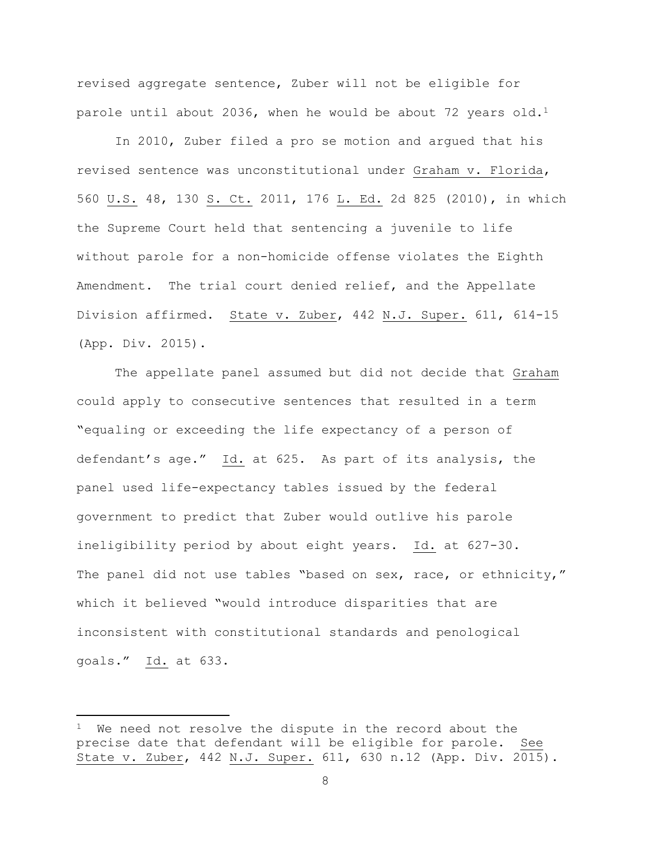revised aggregate sentence, Zuber will not be eligible for parole until about 2036, when he would be about 72 years old.<sup>1</sup>

In 2010, Zuber filed a pro se motion and argued that his revised sentence was unconstitutional under Graham v. Florida, 560 U.S. 48, 130 S. Ct. 2011, 176 L. Ed. 2d 825 (2010), in which the Supreme Court held that sentencing a juvenile to life without parole for a non-homicide offense violates the Eighth Amendment. The trial court denied relief, and the Appellate Division affirmed. State v. Zuber, 442 N.J. Super. 611, 614-15 (App. Div. 2015).

The appellate panel assumed but did not decide that Graham could apply to consecutive sentences that resulted in a term "equaling or exceeding the life expectancy of a person of defendant's age." Id. at 625. As part of its analysis, the panel used life-expectancy tables issued by the federal government to predict that Zuber would outlive his parole ineligibility period by about eight years. Id. at 627-30. The panel did not use tables "based on sex, race, or ethnicity," which it believed "would introduce disparities that are inconsistent with constitutional standards and penological goals." Id. at 633.

 $\overline{\phantom{a}}$ 

We need not resolve the dispute in the record about the precise date that defendant will be eligible for parole. See State v. Zuber, 442 N.J. Super. 611, 630 n.12 (App. Div. 2015).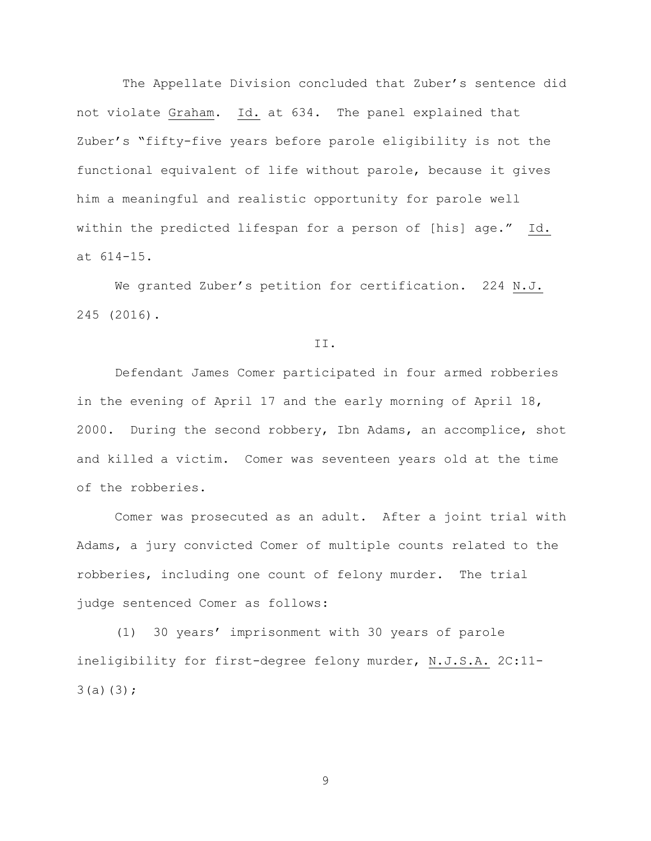The Appellate Division concluded that Zuber's sentence did not violate Graham. Id. at 634. The panel explained that Zuber's "fifty-five years before parole eligibility is not the functional equivalent of life without parole, because it gives him a meaningful and realistic opportunity for parole well within the predicted lifespan for a person of [his] age." Id. at 614-15.

We granted Zuber's petition for certification. 224 N.J. 245 (2016).

II.

Defendant James Comer participated in four armed robberies in the evening of April 17 and the early morning of April 18, 2000. During the second robbery, Ibn Adams, an accomplice, shot and killed a victim. Comer was seventeen years old at the time of the robberies.

Comer was prosecuted as an adult. After a joint trial with Adams, a jury convicted Comer of multiple counts related to the robberies, including one count of felony murder. The trial judge sentenced Comer as follows:

(1) 30 years' imprisonment with 30 years of parole ineligibility for first-degree felony murder, N.J.S.A. 2C:11-  $3(a)(3);$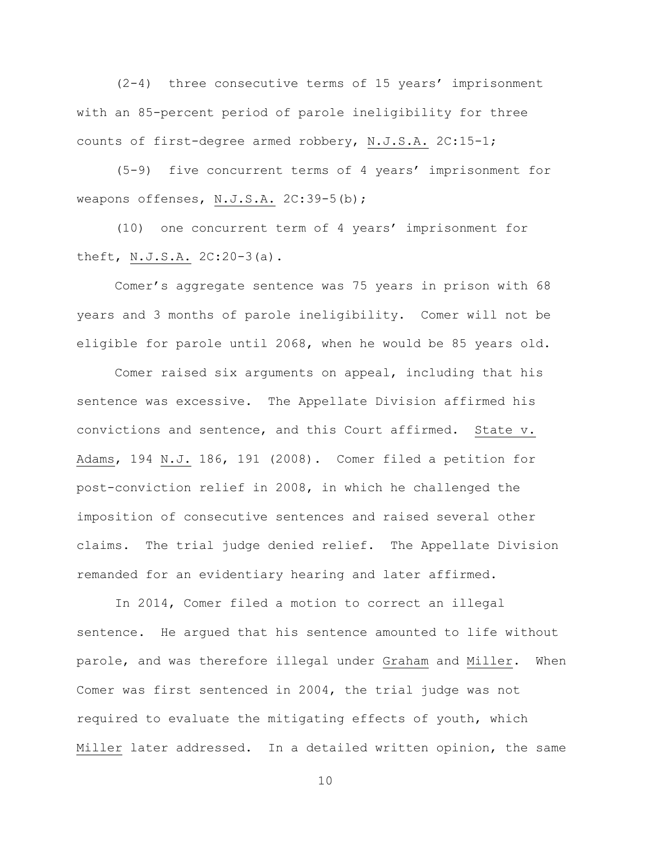(2-4) three consecutive terms of 15 years' imprisonment with an 85-percent period of parole ineligibility for three counts of first-degree armed robbery, N.J.S.A. 2C:15-1;

(5-9) five concurrent terms of 4 years' imprisonment for weapons offenses, N.J.S.A. 2C:39-5(b);

(10) one concurrent term of 4 years' imprisonment for theft, N.J.S.A. 2C:20-3(a).

Comer's aggregate sentence was 75 years in prison with 68 years and 3 months of parole ineligibility. Comer will not be eligible for parole until 2068, when he would be 85 years old.

Comer raised six arguments on appeal, including that his sentence was excessive. The Appellate Division affirmed his convictions and sentence, and this Court affirmed. State v. Adams, 194 N.J. 186, 191 (2008). Comer filed a petition for post-conviction relief in 2008, in which he challenged the imposition of consecutive sentences and raised several other claims. The trial judge denied relief. The Appellate Division remanded for an evidentiary hearing and later affirmed.

In 2014, Comer filed a motion to correct an illegal sentence. He argued that his sentence amounted to life without parole, and was therefore illegal under Graham and Miller. When Comer was first sentenced in 2004, the trial judge was not required to evaluate the mitigating effects of youth, which Miller later addressed. In a detailed written opinion, the same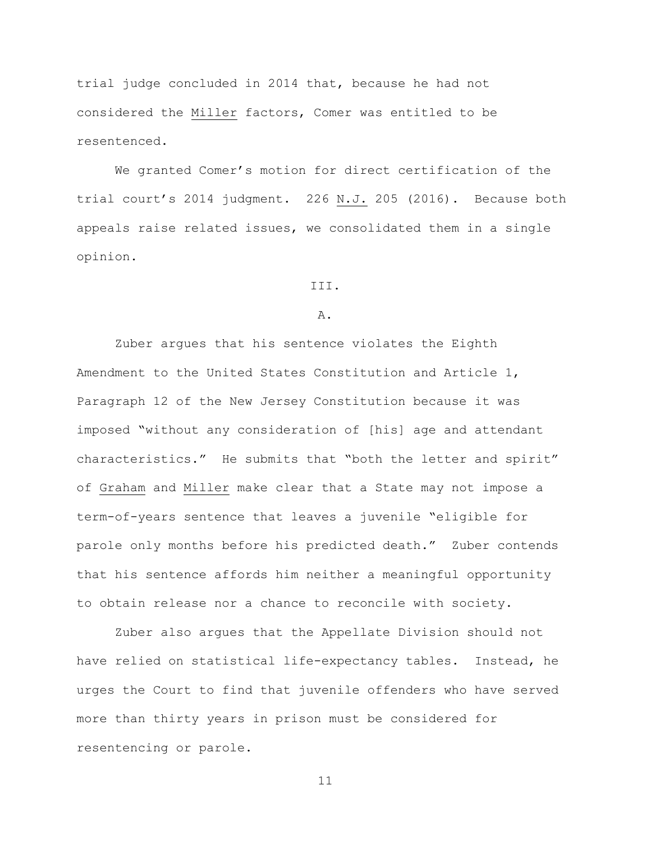trial judge concluded in 2014 that, because he had not considered the Miller factors, Comer was entitled to be resentenced.

We granted Comer's motion for direct certification of the trial court's 2014 judgment. 226 N.J. 205 (2016). Because both appeals raise related issues, we consolidated them in a single opinion.

III.

#### A.

Zuber argues that his sentence violates the Eighth Amendment to the United States Constitution and Article 1, Paragraph 12 of the New Jersey Constitution because it was imposed "without any consideration of [his] age and attendant characteristics." He submits that "both the letter and spirit" of Graham and Miller make clear that a State may not impose a term-of-years sentence that leaves a juvenile "eligible for parole only months before his predicted death." Zuber contends that his sentence affords him neither a meaningful opportunity to obtain release nor a chance to reconcile with society.

Zuber also argues that the Appellate Division should not have relied on statistical life-expectancy tables. Instead, he urges the Court to find that juvenile offenders who have served more than thirty years in prison must be considered for resentencing or parole.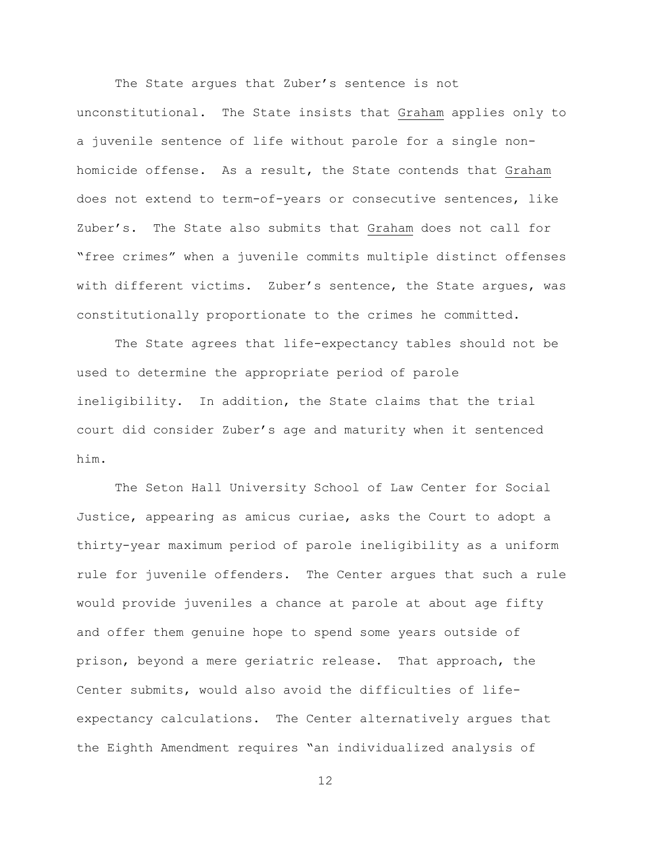The State argues that Zuber's sentence is not unconstitutional. The State insists that Graham applies only to a juvenile sentence of life without parole for a single nonhomicide offense. As a result, the State contends that Graham does not extend to term-of-years or consecutive sentences, like Zuber's. The State also submits that Graham does not call for "free crimes" when a juvenile commits multiple distinct offenses with different victims. Zuber's sentence, the State argues, was constitutionally proportionate to the crimes he committed.

The State agrees that life-expectancy tables should not be used to determine the appropriate period of parole ineligibility. In addition, the State claims that the trial court did consider Zuber's age and maturity when it sentenced him.

The Seton Hall University School of Law Center for Social Justice, appearing as amicus curiae, asks the Court to adopt a thirty-year maximum period of parole ineligibility as a uniform rule for juvenile offenders. The Center argues that such a rule would provide juveniles a chance at parole at about age fifty and offer them genuine hope to spend some years outside of prison, beyond a mere geriatric release. That approach, the Center submits, would also avoid the difficulties of lifeexpectancy calculations. The Center alternatively argues that the Eighth Amendment requires "an individualized analysis of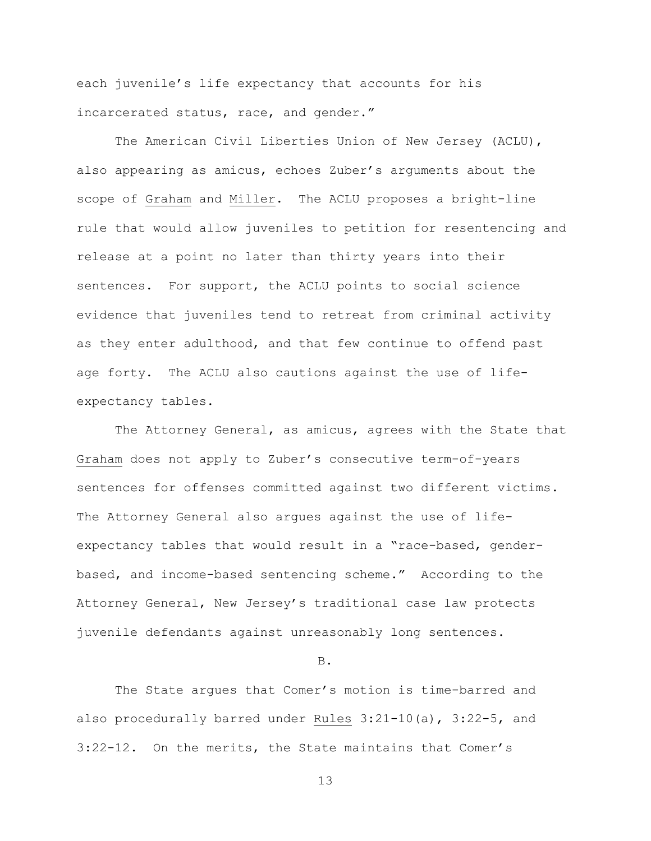each juvenile's life expectancy that accounts for his incarcerated status, race, and gender."

The American Civil Liberties Union of New Jersey (ACLU), also appearing as amicus, echoes Zuber's arguments about the scope of Graham and Miller. The ACLU proposes a bright-line rule that would allow juveniles to petition for resentencing and release at a point no later than thirty years into their sentences. For support, the ACLU points to social science evidence that juveniles tend to retreat from criminal activity as they enter adulthood, and that few continue to offend past age forty. The ACLU also cautions against the use of lifeexpectancy tables.

The Attorney General, as amicus, agrees with the State that Graham does not apply to Zuber's consecutive term-of-years sentences for offenses committed against two different victims. The Attorney General also argues against the use of lifeexpectancy tables that would result in a "race-based, genderbased, and income-based sentencing scheme." According to the Attorney General, New Jersey's traditional case law protects juvenile defendants against unreasonably long sentences.

B.

The State argues that Comer's motion is time-barred and also procedurally barred under Rules 3:21-10(a), 3:22-5, and 3:22-12. On the merits, the State maintains that Comer's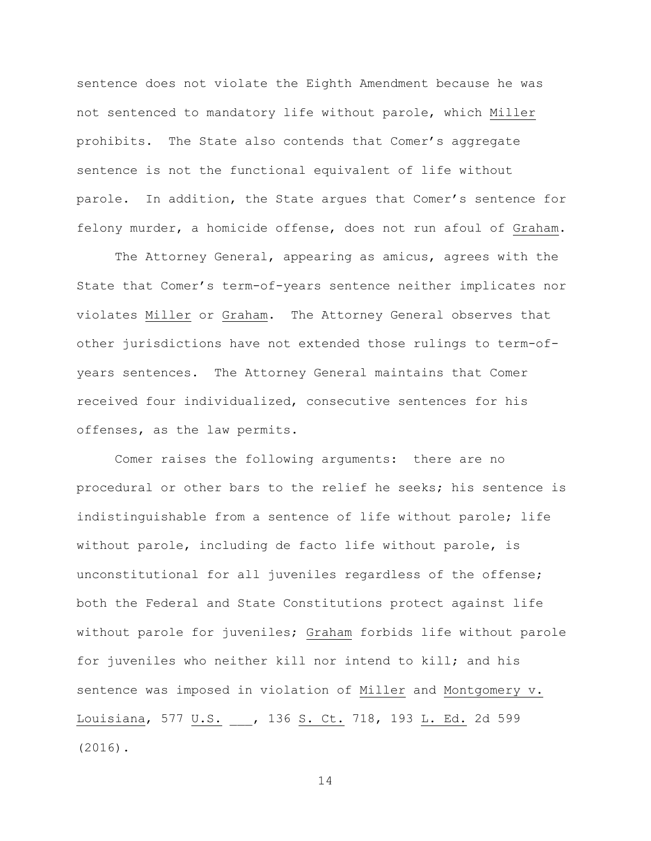sentence does not violate the Eighth Amendment because he was not sentenced to mandatory life without parole, which Miller prohibits. The State also contends that Comer's aggregate sentence is not the functional equivalent of life without parole. In addition, the State argues that Comer's sentence for felony murder, a homicide offense, does not run afoul of Graham.

The Attorney General, appearing as amicus, agrees with the State that Comer's term-of-years sentence neither implicates nor violates Miller or Graham. The Attorney General observes that other jurisdictions have not extended those rulings to term-ofyears sentences. The Attorney General maintains that Comer received four individualized, consecutive sentences for his offenses, as the law permits.

Comer raises the following arguments: there are no procedural or other bars to the relief he seeks; his sentence is indistinguishable from a sentence of life without parole; life without parole, including de facto life without parole, is unconstitutional for all juveniles regardless of the offense; both the Federal and State Constitutions protect against life without parole for juveniles; Graham forbids life without parole for juveniles who neither kill nor intend to kill; and his sentence was imposed in violation of Miller and Montgomery v. Louisiana, 577 U.S. \_\_\_, 136 S. Ct. 718, 193 L. Ed. 2d 599 (2016).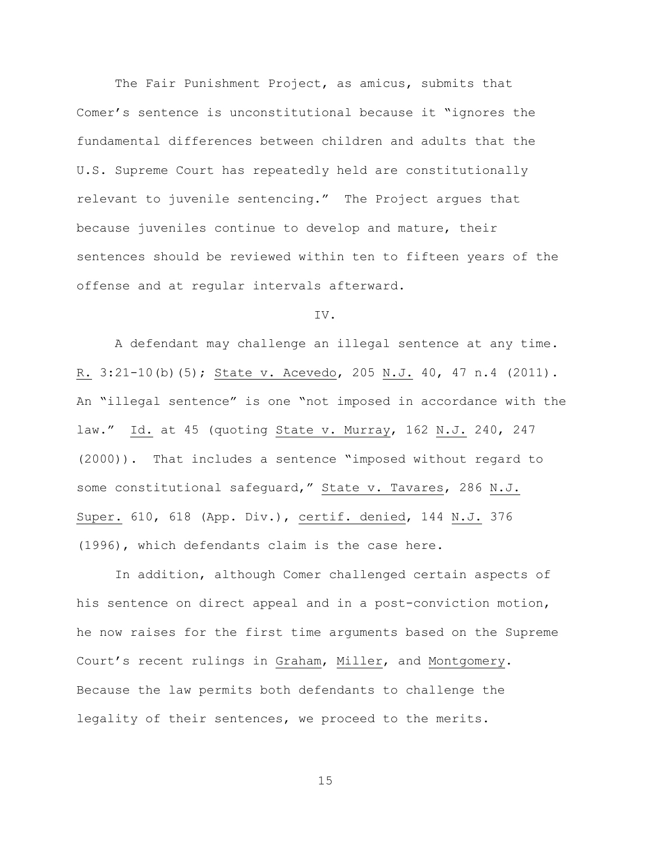The Fair Punishment Project, as amicus, submits that Comer's sentence is unconstitutional because it "ignores the fundamental differences between children and adults that the U.S. Supreme Court has repeatedly held are constitutionally relevant to juvenile sentencing." The Project argues that because juveniles continue to develop and mature, their sentences should be reviewed within ten to fifteen years of the offense and at regular intervals afterward.

### IV.

A defendant may challenge an illegal sentence at any time. R. 3:21-10(b)(5); State v. Acevedo, 205 N.J. 40, 47 n.4 (2011). An "illegal sentence" is one "not imposed in accordance with the law." Id. at 45 (quoting State v. Murray, 162 N.J. 240, 247 (2000)). That includes a sentence "imposed without regard to some constitutional safeguard," State v. Tavares, 286 N.J. Super. 610, 618 (App. Div.), certif. denied, 144 N.J. 376 (1996), which defendants claim is the case here.

In addition, although Comer challenged certain aspects of his sentence on direct appeal and in a post-conviction motion, he now raises for the first time arguments based on the Supreme Court's recent rulings in Graham, Miller, and Montgomery. Because the law permits both defendants to challenge the legality of their sentences, we proceed to the merits.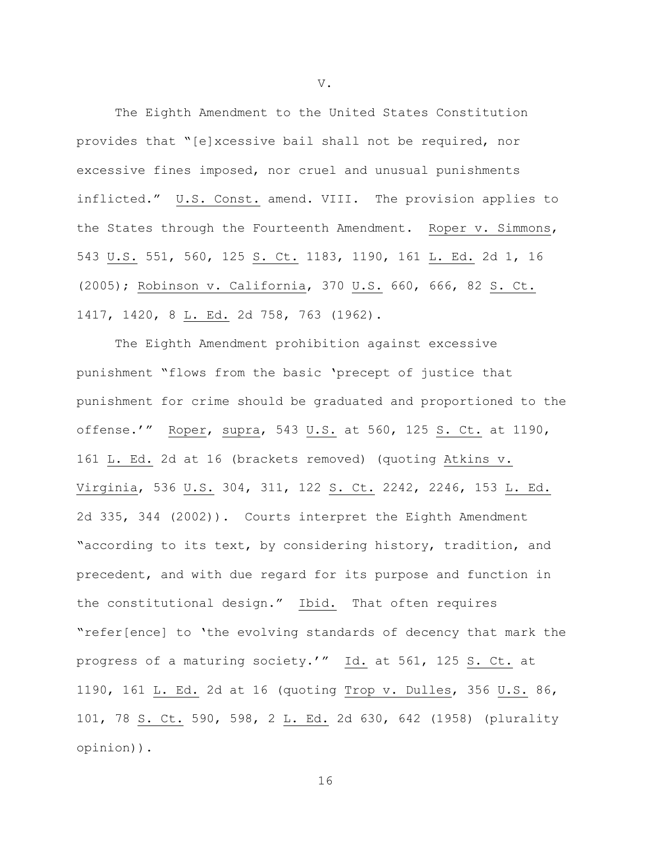The Eighth Amendment to the United States Constitution provides that "[e]xcessive bail shall not be required, nor excessive fines imposed, nor cruel and unusual punishments inflicted." U.S. Const. amend. VIII. The provision applies to the States through the Fourteenth Amendment. Roper v. Simmons, 543 U.S. 551, 560, 125 S. Ct. 1183, 1190, 161 L. Ed. 2d 1, 16 (2005); Robinson v. California, 370 U.S. 660, 666, 82 S. Ct. 1417, 1420, 8 L. Ed. 2d 758, 763 (1962).

The Eighth Amendment prohibition against excessive punishment "flows from the basic 'precept of justice that punishment for crime should be graduated and proportioned to the offense.'" Roper, supra, 543 U.S. at 560, 125 S. Ct. at 1190, 161 L. Ed. 2d at 16 (brackets removed) (quoting Atkins v. Virginia, 536 U.S. 304, 311, 122 S. Ct. 2242, 2246, 153 L. Ed. 2d 335, 344 (2002)). Courts interpret the Eighth Amendment "according to its text, by considering history, tradition, and precedent, and with due regard for its purpose and function in the constitutional design." Ibid. That often requires "refer[ence] to 'the evolving standards of decency that mark the progress of a maturing society.'" Id. at 561, 125 S. Ct. at 1190, 161 L. Ed. 2d at 16 (quoting Trop v. Dulles, 356 U.S. 86, 101, 78 S. Ct. 590, 598, 2 L. Ed. 2d 630, 642 (1958) (plurality opinion)).

V.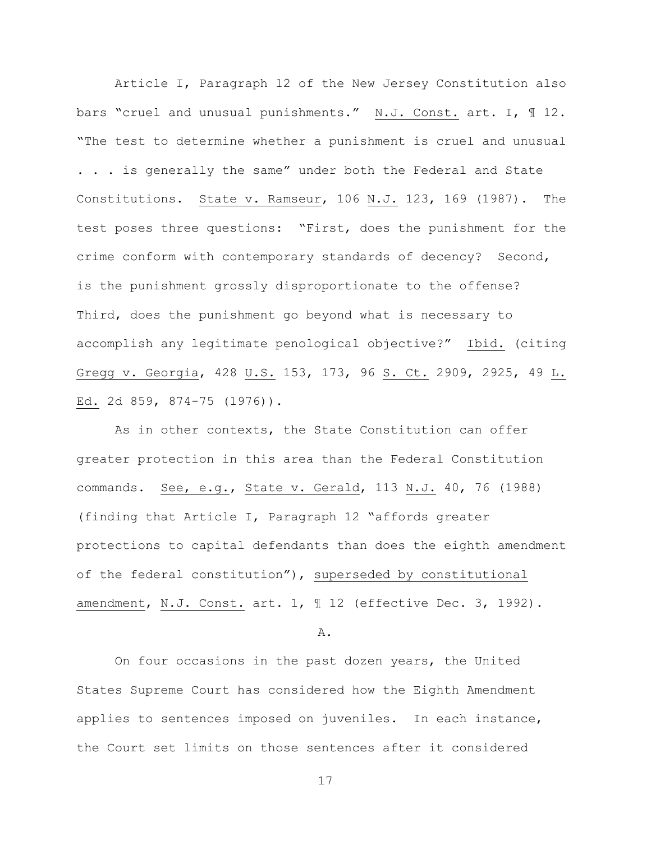Article I, Paragraph 12 of the New Jersey Constitution also bars "cruel and unusual punishments." N.J. Const. art. I, ¶ 12. "The test to determine whether a punishment is cruel and unusual . . . is generally the same" under both the Federal and State Constitutions. State v. Ramseur, 106 N.J. 123, 169 (1987). The test poses three questions: "First, does the punishment for the crime conform with contemporary standards of decency? Second, is the punishment grossly disproportionate to the offense? Third, does the punishment go beyond what is necessary to accomplish any legitimate penological objective?" Ibid. (citing Gregg v. Georgia, 428 U.S. 153, 173, 96 S. Ct. 2909, 2925, 49 L. Ed. 2d 859, 874-75 (1976)).

As in other contexts, the State Constitution can offer greater protection in this area than the Federal Constitution commands. See, e.g., State v. Gerald, 113 N.J. 40, 76 (1988) (finding that Article I, Paragraph 12 "affords greater protections to capital defendants than does the eighth amendment of the federal constitution"), superseded by constitutional amendment, N.J. Const. art. 1, ¶ 12 (effective Dec. 3, 1992).

A.

On four occasions in the past dozen years, the United States Supreme Court has considered how the Eighth Amendment applies to sentences imposed on juveniles. In each instance, the Court set limits on those sentences after it considered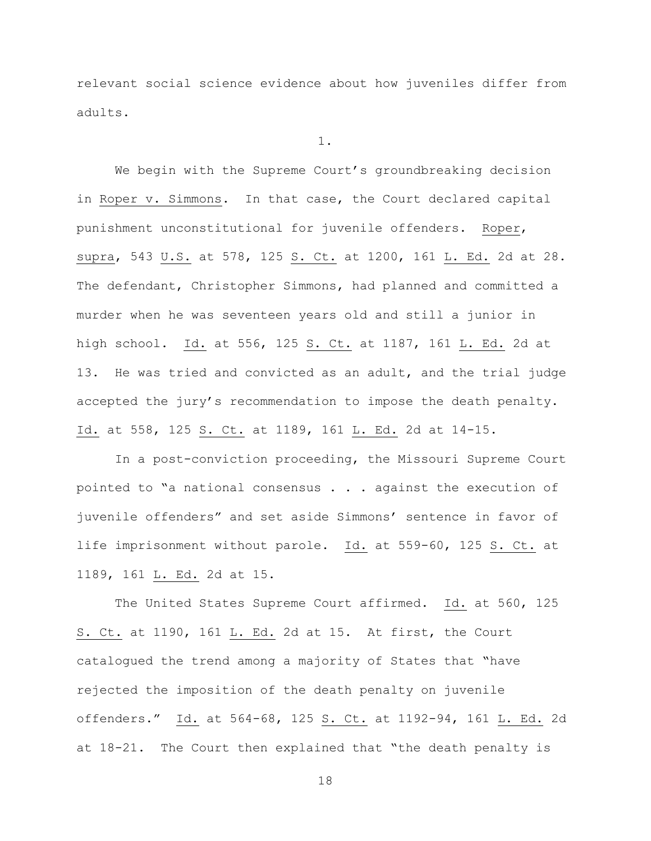relevant social science evidence about how juveniles differ from adults.

1.

We begin with the Supreme Court's groundbreaking decision in Roper v. Simmons. In that case, the Court declared capital punishment unconstitutional for juvenile offenders. Roper, supra, 543 U.S. at 578, 125 S. Ct. at 1200, 161 L. Ed. 2d at 28. The defendant, Christopher Simmons, had planned and committed a murder when he was seventeen years old and still a junior in high school. Id. at 556, 125 S. Ct. at 1187, 161 L. Ed. 2d at 13. He was tried and convicted as an adult, and the trial judge accepted the jury's recommendation to impose the death penalty. Id. at 558, 125 S. Ct. at 1189, 161 L. Ed. 2d at 14-15.

In a post-conviction proceeding, the Missouri Supreme Court pointed to "a national consensus . . . against the execution of juvenile offenders" and set aside Simmons' sentence in favor of life imprisonment without parole. Id. at 559-60, 125 S. Ct. at 1189, 161 L. Ed. 2d at 15.

The United States Supreme Court affirmed. Id. at 560, 125 S. Ct. at 1190, 161 L. Ed. 2d at 15. At first, the Court catalogued the trend among a majority of States that "have rejected the imposition of the death penalty on juvenile offenders." Id. at 564-68, 125 S. Ct. at 1192-94, 161 L. Ed. 2d at 18-21. The Court then explained that "the death penalty is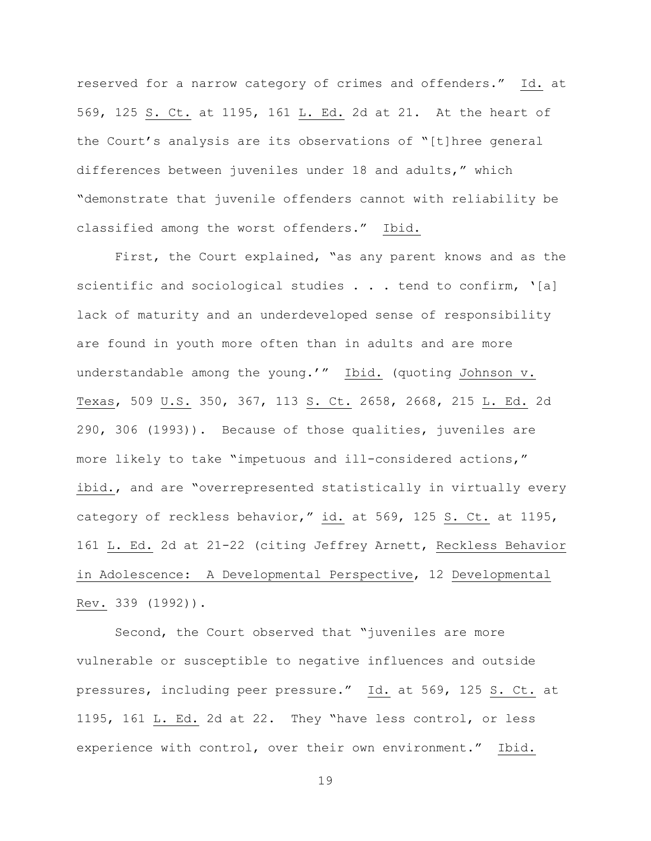reserved for a narrow category of crimes and offenders." Id. at 569, 125 S. Ct. at 1195, 161 L. Ed. 2d at 21. At the heart of the Court's analysis are its observations of "[t]hree general differences between juveniles under 18 and adults," which "demonstrate that juvenile offenders cannot with reliability be classified among the worst offenders." Ibid.

First, the Court explained, "as any parent knows and as the scientific and sociological studies  $\ldots$  . tend to confirm, '[a] lack of maturity and an underdeveloped sense of responsibility are found in youth more often than in adults and are more understandable among the young.'" Ibid. (quoting Johnson v. Texas, 509 U.S. 350, 367, 113 S. Ct. 2658, 2668, 215 L. Ed. 2d 290, 306 (1993)). Because of those qualities, juveniles are more likely to take "impetuous and ill-considered actions," ibid., and are "overrepresented statistically in virtually every category of reckless behavior," id. at 569, 125 S. Ct. at 1195, 161 L. Ed. 2d at 21-22 (citing Jeffrey Arnett, Reckless Behavior in Adolescence: A Developmental Perspective, 12 Developmental Rev. 339 (1992)).

Second, the Court observed that "juveniles are more vulnerable or susceptible to negative influences and outside pressures, including peer pressure." Id. at 569, 125 S. Ct. at 1195, 161 L. Ed. 2d at 22. They "have less control, or less experience with control, over their own environment." Ibid.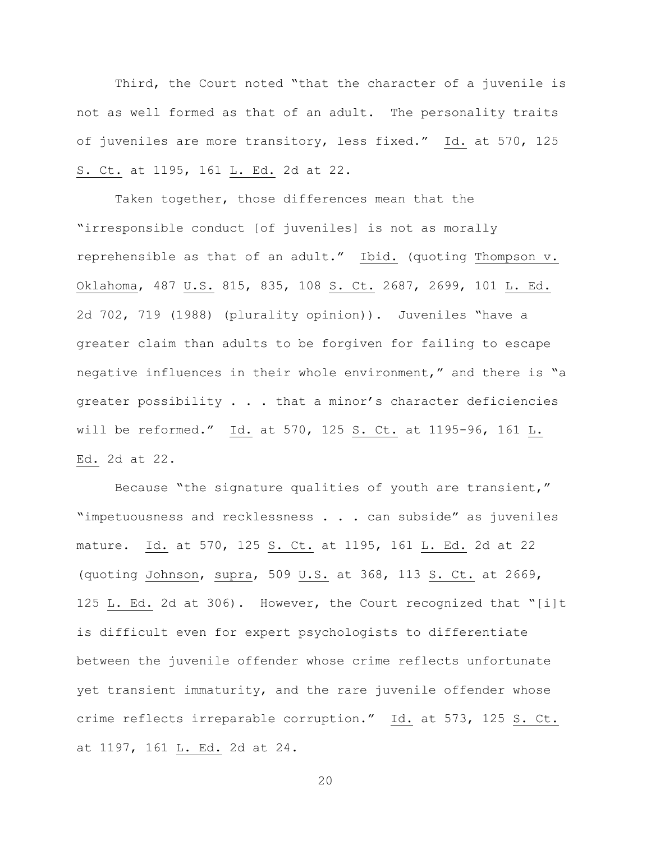Third, the Court noted "that the character of a juvenile is not as well formed as that of an adult. The personality traits of juveniles are more transitory, less fixed." Id. at 570, 125 S. Ct. at 1195, 161 L. Ed. 2d at 22.

Taken together, those differences mean that the "irresponsible conduct [of juveniles] is not as morally reprehensible as that of an adult." Ibid. (quoting Thompson v. Oklahoma, 487 U.S. 815, 835, 108 S. Ct. 2687, 2699, 101 L. Ed. 2d 702, 719 (1988) (plurality opinion)). Juveniles "have a greater claim than adults to be forgiven for failing to escape negative influences in their whole environment," and there is "a greater possibility . . . that a minor's character deficiencies will be reformed." Id. at 570, 125 S. Ct. at 1195-96, 161 L. Ed. 2d at 22.

Because "the signature qualities of youth are transient," "impetuousness and recklessness . . . can subside" as juveniles mature. Id. at 570, 125 S. Ct. at 1195, 161 L. Ed. 2d at 22 (quoting Johnson, supra, 509 U.S. at 368, 113 S. Ct. at 2669, 125 L. Ed. 2d at 306). However, the Court recognized that "[i]t is difficult even for expert psychologists to differentiate between the juvenile offender whose crime reflects unfortunate yet transient immaturity, and the rare juvenile offender whose crime reflects irreparable corruption." Id. at 573, 125 S. Ct. at 1197, 161 L. Ed. 2d at 24.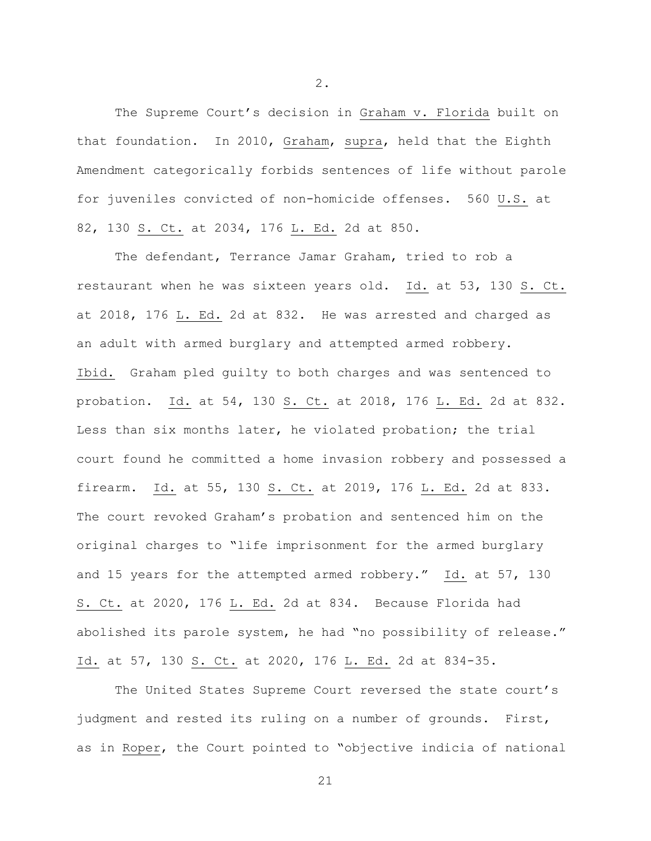The Supreme Court's decision in Graham v. Florida built on that foundation. In 2010, Graham, supra, held that the Eighth Amendment categorically forbids sentences of life without parole for juveniles convicted of non-homicide offenses. 560 U.S. at 82, 130 S. Ct. at 2034, 176 L. Ed. 2d at 850.

The defendant, Terrance Jamar Graham, tried to rob a restaurant when he was sixteen years old. Id. at 53, 130 S. Ct. at 2018, 176 L. Ed. 2d at 832. He was arrested and charged as an adult with armed burglary and attempted armed robbery. Ibid. Graham pled guilty to both charges and was sentenced to probation. Id. at 54, 130 S. Ct. at 2018, 176 L. Ed. 2d at 832. Less than six months later, he violated probation; the trial court found he committed a home invasion robbery and possessed a firearm. Id. at 55, 130 S. Ct. at 2019, 176 L. Ed. 2d at 833. The court revoked Graham's probation and sentenced him on the original charges to "life imprisonment for the armed burglary and 15 years for the attempted armed robbery." Id. at 57, 130 S. Ct. at 2020, 176 L. Ed. 2d at 834. Because Florida had abolished its parole system, he had "no possibility of release." Id. at 57, 130 S. Ct. at 2020, 176 L. Ed. 2d at 834-35.

The United States Supreme Court reversed the state court's judgment and rested its ruling on a number of grounds. First, as in Roper, the Court pointed to "objective indicia of national

2.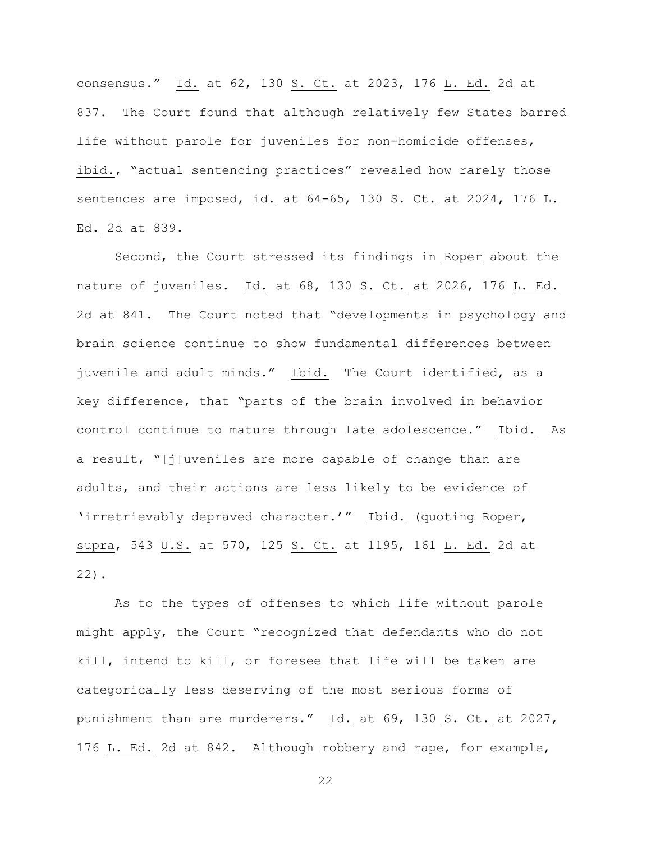consensus." Id. at 62, 130 S. Ct. at 2023, 176 L. Ed. 2d at 837. The Court found that although relatively few States barred life without parole for juveniles for non-homicide offenses, ibid., "actual sentencing practices" revealed how rarely those sentences are imposed, id. at 64-65, 130 S. Ct. at 2024, 176 L. Ed. 2d at 839.

Second, the Court stressed its findings in Roper about the nature of juveniles. Id. at 68, 130 S. Ct. at 2026, 176 L. Ed. 2d at 841. The Court noted that "developments in psychology and brain science continue to show fundamental differences between juvenile and adult minds." Ibid. The Court identified, as a key difference, that "parts of the brain involved in behavior control continue to mature through late adolescence." Ibid. As a result, "[j]uveniles are more capable of change than are adults, and their actions are less likely to be evidence of 'irretrievably depraved character.'" Ibid. (quoting Roper, supra, 543 U.S. at 570, 125 S. Ct. at 1195, 161 L. Ed. 2d at 22).

As to the types of offenses to which life without parole might apply, the Court "recognized that defendants who do not kill, intend to kill, or foresee that life will be taken are categorically less deserving of the most serious forms of punishment than are murderers." Id. at 69, 130 S. Ct. at 2027, 176 L. Ed. 2d at 842. Although robbery and rape, for example,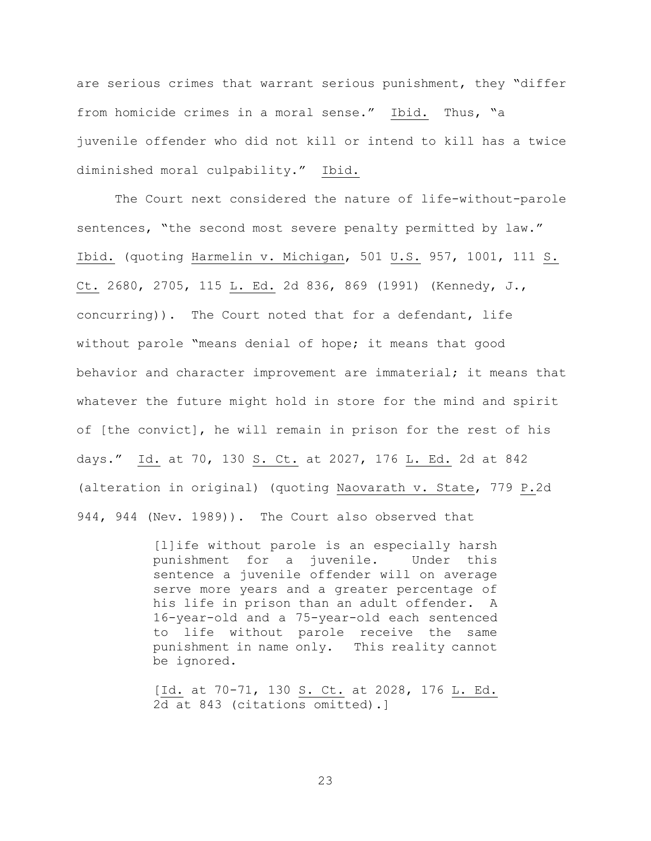are serious crimes that warrant serious punishment, they "differ from homicide crimes in a moral sense." Ibid. Thus, "a juvenile offender who did not kill or intend to kill has a twice diminished moral culpability." Ibid.

The Court next considered the nature of life-without-parole sentences, "the second most severe penalty permitted by law." Ibid. (quoting Harmelin v. Michigan, 501 U.S. 957, 1001, 111 S. Ct. 2680, 2705, 115 L. Ed. 2d 836, 869 (1991) (Kennedy, J., concurring)). The Court noted that for a defendant, life without parole "means denial of hope; it means that good behavior and character improvement are immaterial; it means that whatever the future might hold in store for the mind and spirit of [the convict], he will remain in prison for the rest of his days." Id. at 70, 130 S. Ct. at 2027, 176 L. Ed. 2d at 842 (alteration in original) (quoting Naovarath v. State, 779 P.2d 944, 944 (Nev. 1989)). The Court also observed that

> [l]ife without parole is an especially harsh punishment for a juvenile. Under this sentence a juvenile offender will on average serve more years and a greater percentage of his life in prison than an adult offender. A 16-year-old and a 75-year-old each sentenced to life without parole receive the same punishment in name only. This reality cannot be ignored.

> [Id. at 70-71, 130 S. Ct. at 2028, 176 L. Ed. 2d at 843 (citations omitted).]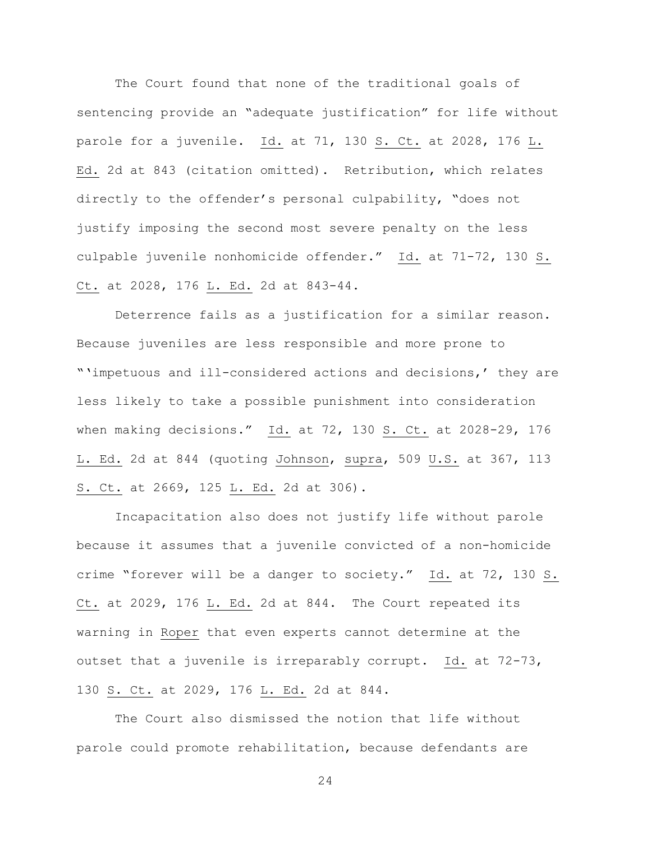The Court found that none of the traditional goals of sentencing provide an "adequate justification" for life without parole for a juvenile. Id. at 71, 130 S. Ct. at 2028, 176 L. Ed. 2d at 843 (citation omitted). Retribution, which relates directly to the offender's personal culpability, "does not justify imposing the second most severe penalty on the less culpable juvenile nonhomicide offender." Id. at 71-72, 130 S. Ct. at 2028, 176 L. Ed. 2d at 843-44.

Deterrence fails as a justification for a similar reason. Because juveniles are less responsible and more prone to "'impetuous and ill-considered actions and decisions,' they are less likely to take a possible punishment into consideration when making decisions." Id. at 72, 130 S. Ct. at 2028-29, 176 L. Ed. 2d at 844 (quoting Johnson, supra, 509 U.S. at 367, 113 S. Ct. at 2669, 125 L. Ed. 2d at 306).

Incapacitation also does not justify life without parole because it assumes that a juvenile convicted of a non-homicide crime "forever will be a danger to society." Id. at 72, 130 S. Ct. at 2029, 176 L. Ed. 2d at 844. The Court repeated its warning in Roper that even experts cannot determine at the outset that a juvenile is irreparably corrupt. Id. at 72-73, 130 S. Ct. at 2029, 176 L. Ed. 2d at 844.

The Court also dismissed the notion that life without parole could promote rehabilitation, because defendants are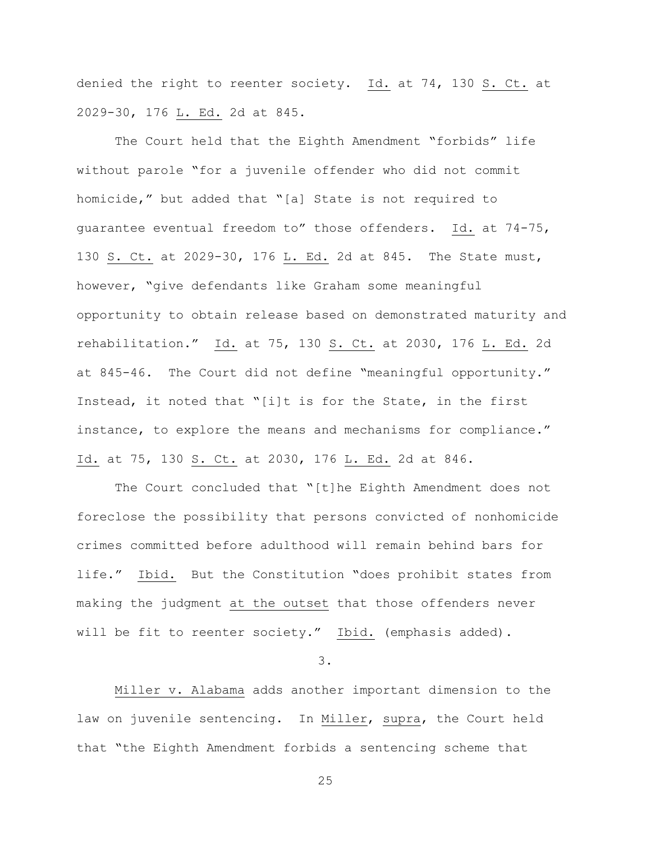denied the right to reenter society. Id. at 74, 130 S. Ct. at 2029-30, 176 L. Ed. 2d at 845.

The Court held that the Eighth Amendment "forbids" life without parole "for a juvenile offender who did not commit homicide," but added that "[a] State is not required to guarantee eventual freedom to" those offenders. Id. at 74-75, 130 S. Ct. at 2029-30, 176 L. Ed. 2d at 845. The State must, however, "give defendants like Graham some meaningful opportunity to obtain release based on demonstrated maturity and rehabilitation." Id. at 75, 130 S. Ct. at 2030, 176 L. Ed. 2d at 845-46. The Court did not define "meaningful opportunity." Instead, it noted that "[i]t is for the State, in the first instance, to explore the means and mechanisms for compliance." Id. at 75, 130 S. Ct. at 2030, 176 L. Ed. 2d at 846.

The Court concluded that "[t]he Eighth Amendment does not foreclose the possibility that persons convicted of nonhomicide crimes committed before adulthood will remain behind bars for life." Ibid. But the Constitution "does prohibit states from making the judgment at the outset that those offenders never will be fit to reenter society." Ibid. (emphasis added).

3.

Miller v. Alabama adds another important dimension to the law on juvenile sentencing. In Miller, supra, the Court held that "the Eighth Amendment forbids a sentencing scheme that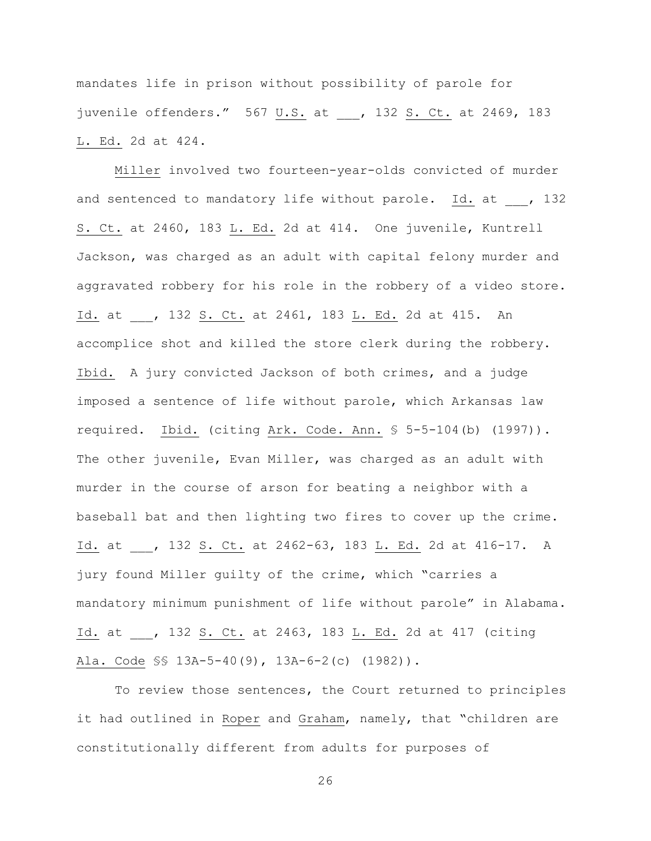mandates life in prison without possibility of parole for juvenile offenders." 567 U.S. at , 132 S. Ct. at 2469, 183 L. Ed. 2d at 424.

Miller involved two fourteen-year-olds convicted of murder and sentenced to mandatory life without parole. Id. at , 132 S. Ct. at 2460, 183 L. Ed. 2d at 414. One juvenile, Kuntrell Jackson, was charged as an adult with capital felony murder and aggravated robbery for his role in the robbery of a video store. Id. at \_\_\_, 132 S. Ct. at 2461, 183 L. Ed. 2d at 415. An accomplice shot and killed the store clerk during the robbery. Ibid. A jury convicted Jackson of both crimes, and a judge imposed a sentence of life without parole, which Arkansas law required. Ibid. (citing Ark. Code. Ann. § 5-5-104(b) (1997)). The other juvenile, Evan Miller, was charged as an adult with murder in the course of arson for beating a neighbor with a baseball bat and then lighting two fires to cover up the crime. Id. at , 132 S. Ct. at 2462-63, 183 L. Ed. 2d at 416-17. A jury found Miller guilty of the crime, which "carries a mandatory minimum punishment of life without parole" in Alabama. Id. at , 132 S. Ct. at 2463, 183 L. Ed. 2d at 417 (citing Ala. Code §§ 13A-5-40(9), 13A-6-2(c) (1982)).

To review those sentences, the Court returned to principles it had outlined in Roper and Graham, namely, that "children are constitutionally different from adults for purposes of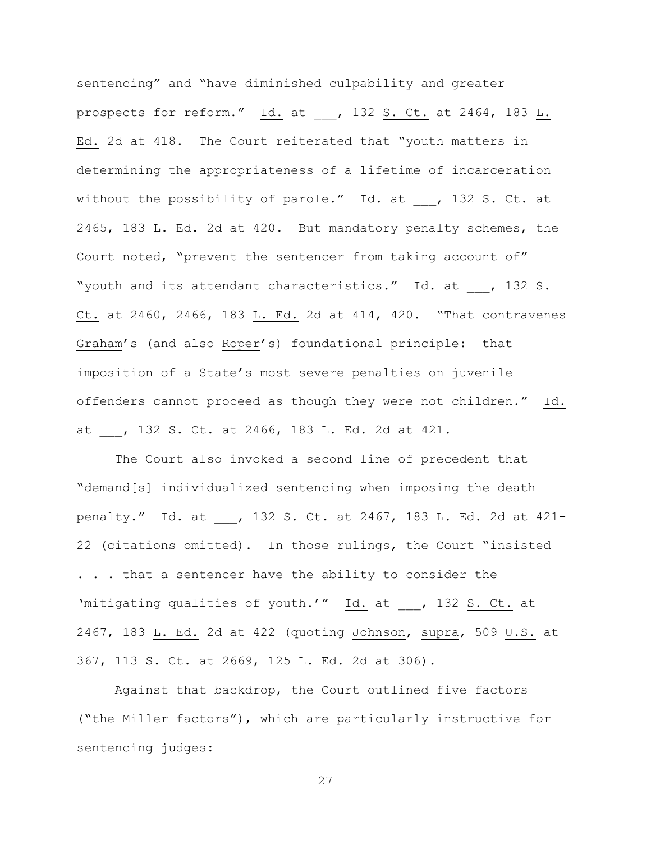sentencing" and "have diminished culpability and greater prospects for reform."  $\underline{Id.}$  at \_\_\_, 132 S. Ct. at 2464, 183 L. Ed. 2d at 418. The Court reiterated that "youth matters in determining the appropriateness of a lifetime of incarceration without the possibility of parole." Id. at , 132 S. Ct. at 2465, 183 L. Ed. 2d at 420. But mandatory penalty schemes, the Court noted, "prevent the sentencer from taking account of" "youth and its attendant characteristics." Id. at \_\_\_, 132 S. Ct. at 2460, 2466, 183 L. Ed. 2d at 414, 420. "That contravenes Graham's (and also Roper's) foundational principle: that imposition of a State's most severe penalties on juvenile offenders cannot proceed as though they were not children." Id. at , 132 S. Ct. at 2466, 183 L. Ed. 2d at 421.

The Court also invoked a second line of precedent that "demand[s] individualized sentencing when imposing the death penalty." Id. at , 132 S. Ct. at 2467, 183 L. Ed. 2d at 421-22 (citations omitted). In those rulings, the Court "insisted . . . that a sentencer have the ability to consider the 'mitigating qualities of youth.'" Id. at \_\_\_, 132 S. Ct. at 2467, 183 L. Ed. 2d at 422 (quoting Johnson, supra, 509 U.S. at 367, 113 S. Ct. at 2669, 125 L. Ed. 2d at 306).

Against that backdrop, the Court outlined five factors ("the Miller factors"), which are particularly instructive for sentencing judges: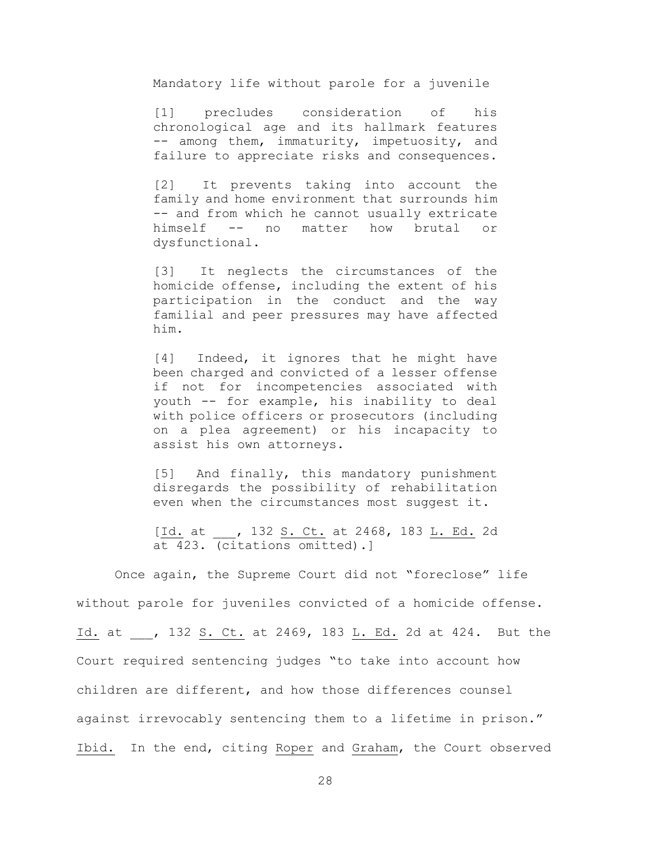Mandatory life without parole for a juvenile

[1] precludes consideration of his chronological age and its hallmark features -- among them, immaturity, impetuosity, and failure to appreciate risks and consequences.

[2] It prevents taking into account the family and home environment that surrounds him -- and from which he cannot usually extricate himself -- no matter how brutal or dysfunctional.

[3] It neglects the circumstances of the homicide offense, including the extent of his participation in the conduct and the way familial and peer pressures may have affected him.

[4] Indeed, it ignores that he might have been charged and convicted of a lesser offense if not for incompetencies associated with youth -- for example, his inability to deal with police officers or prosecutors (including on a plea agreement) or his incapacity to assist his own attorneys.

[5] And finally, this mandatory punishment disregards the possibility of rehabilitation even when the circumstances most suggest it.

[Id. at \_\_\_, 132 S. Ct. at 2468, 183 L. Ed. 2d at 423. (citations omitted).]

Once again, the Supreme Court did not "foreclose" life without parole for juveniles convicted of a homicide offense. Id. at , 132 S. Ct. at 2469, 183 L. Ed. 2d at 424. But the Court required sentencing judges "to take into account how children are different, and how those differences counsel against irrevocably sentencing them to a lifetime in prison." Ibid. In the end, citing Roper and Graham, the Court observed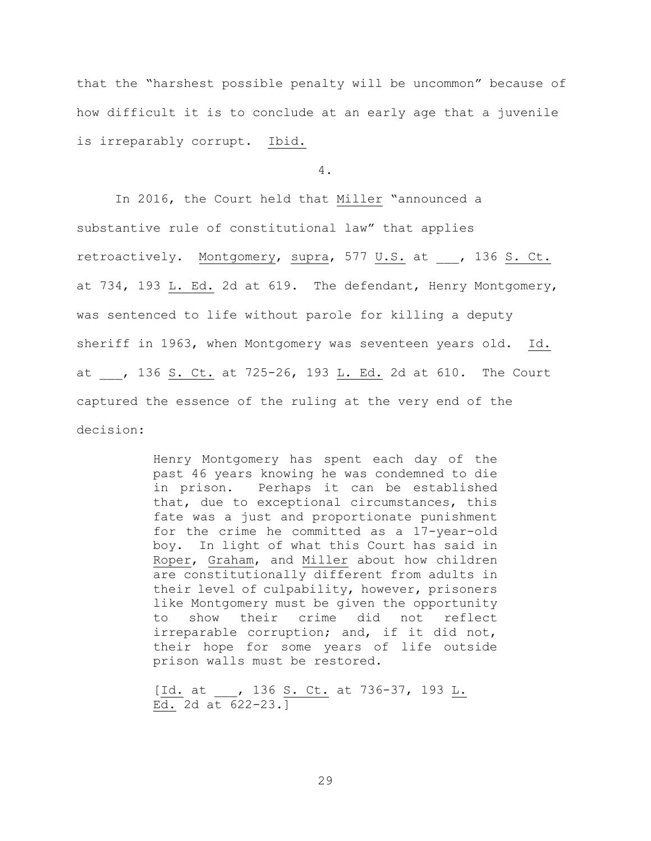that the "harshest possible penalty will be uncommon" because of how difficult it is to conclude at an early age that a juvenile is irreparably corrupt. Ibid.

4.

In 2016, the Court held that Miller "announced a substantive rule of constitutional law" that applies retroactively. Montgomery, supra, 577 U.S. at , 136 S. Ct. at 734, 193 L. Ed. 2d at 619. The defendant, Henry Montgomery, was sentenced to life without parole for killing a deputy sheriff in 1963, when Montgomery was seventeen years old. Id. at , 136 S. Ct. at 725-26, 193 L. Ed. 2d at 610. The Court captured the essence of the ruling at the very end of the decision:

> Henry Montgomery has spent each day of the past 46 years knowing he was condemned to die in prison. Perhaps it can be established that, due to exceptional circumstances, this fate was a just and proportionate punishment for the crime he committed as a 17-year-old boy. In light of what this Court has said in Roper, Graham, and Miller about how children are constitutionally different from adults in their level of culpability, however, prisoners like Montgomery must be given the opportunity to show their crime did not reflect irreparable corruption; and, if it did not, their hope for some years of life outside prison walls must be restored.

[Id. at \_\_\_, 136 S. Ct. at 736-37, 193 L. Ed. 2d at 622-23.]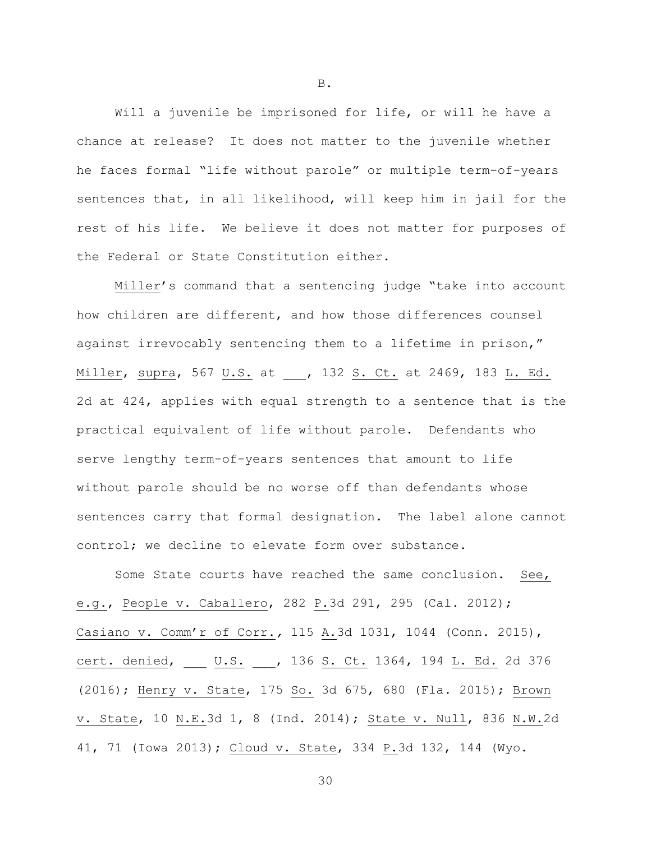Will a juvenile be imprisoned for life, or will he have a chance at release? It does not matter to the juvenile whether he faces formal "life without parole" or multiple term-of-years sentences that, in all likelihood, will keep him in jail for the rest of his life. We believe it does not matter for purposes of the Federal or State Constitution either.

Miller's command that a sentencing judge "take into account how children are different, and how those differences counsel against irrevocably sentencing them to a lifetime in prison," Miller, supra, 567 U.S. at , 132 S. Ct. at 2469, 183 L. Ed. 2d at 424, applies with equal strength to a sentence that is the practical equivalent of life without parole. Defendants who serve lengthy term-of-years sentences that amount to life without parole should be no worse off than defendants whose sentences carry that formal designation. The label alone cannot control; we decline to elevate form over substance.

Some State courts have reached the same conclusion. See, e.g*.*, People v. Caballero, 282 P.3d 291, 295 (Cal. 2012); Casiano v. Comm'r of Corr.*,* 115 A.3d 1031, 1044 (Conn. 2015), cert. denied, \_\_\_ U.S. \_\_, 136 S. Ct. 1364, 194 L. Ed. 2d 376 (2016); Henry v. State, 175 So. 3d 675, 680 (Fla. 2015); Brown v. State, 10 N.E.3d 1, 8 (Ind. 2014); State v. Null, 836 N.W.2d 41, 71 (Iowa 2013); Cloud v. State, 334 P.3d 132, 144 (Wyo.

B.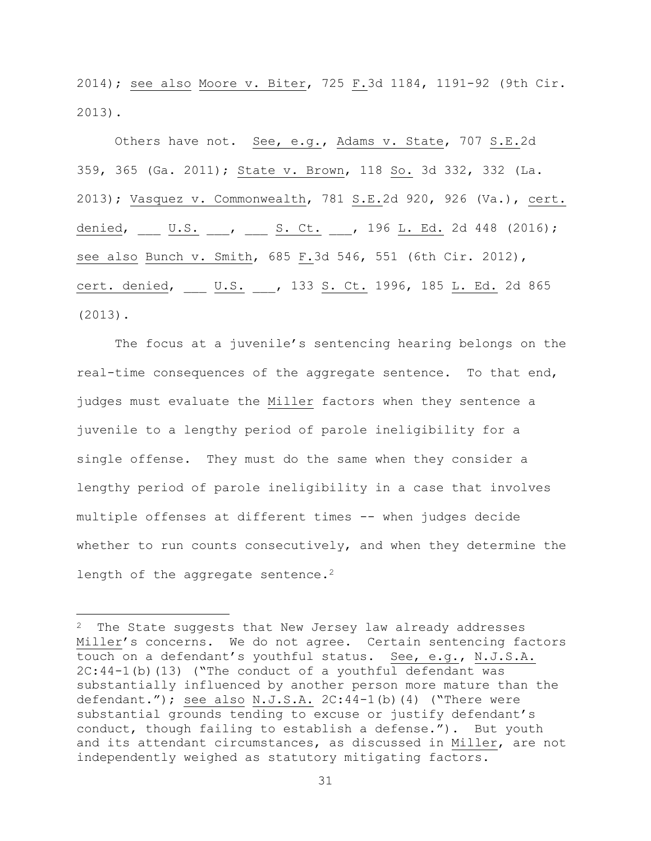2014); see also Moore v. Biter, 725 F.3d 1184, 1191-92 (9th Cir. 2013).

Others have not. See, e.g., Adams v. State, 707 S.E.2d 359, 365 (Ga. 2011); State v. Brown, 118 So. 3d 332, 332 (La. 2013); Vasquez v. Commonwealth, 781 S.E.2d 920, 926 (Va.), cert. denied, \_\_\_ U.S. \_\_\_, \_\_\_ S. Ct. \_\_\_, 196 L. Ed. 2d 448 (2016); see also Bunch v. Smith, 685 F.3d 546, 551 (6th Cir. 2012), cert. denied, U.S. , 133 S. Ct. 1996, 185 L. Ed. 2d 865 (2013).

The focus at a juvenile's sentencing hearing belongs on the real-time consequences of the aggregate sentence. To that end, judges must evaluate the Miller factors when they sentence a juvenile to a lengthy period of parole ineligibility for a single offense. They must do the same when they consider a lengthy period of parole ineligibility in a case that involves multiple offenses at different times -- when judges decide whether to run counts consecutively, and when they determine the length of the aggregate sentence.<sup>2</sup>

 $\overline{\phantom{a}}$ 

<sup>&</sup>lt;sup>2</sup> The State suggests that New Jersey law already addresses Miller's concerns. We do not agree. Certain sentencing factors touch on a defendant's youthful status. See, e.g., N.J.S.A. 2C:44-1(b)(13) ("The conduct of a youthful defendant was substantially influenced by another person more mature than the defendant."); see also  $N.J.S.A. 2C:44-1(b)(4)$  ("There were substantial grounds tending to excuse or justify defendant's conduct, though failing to establish a defense."). But youth and its attendant circumstances, as discussed in Miller, are not independently weighed as statutory mitigating factors.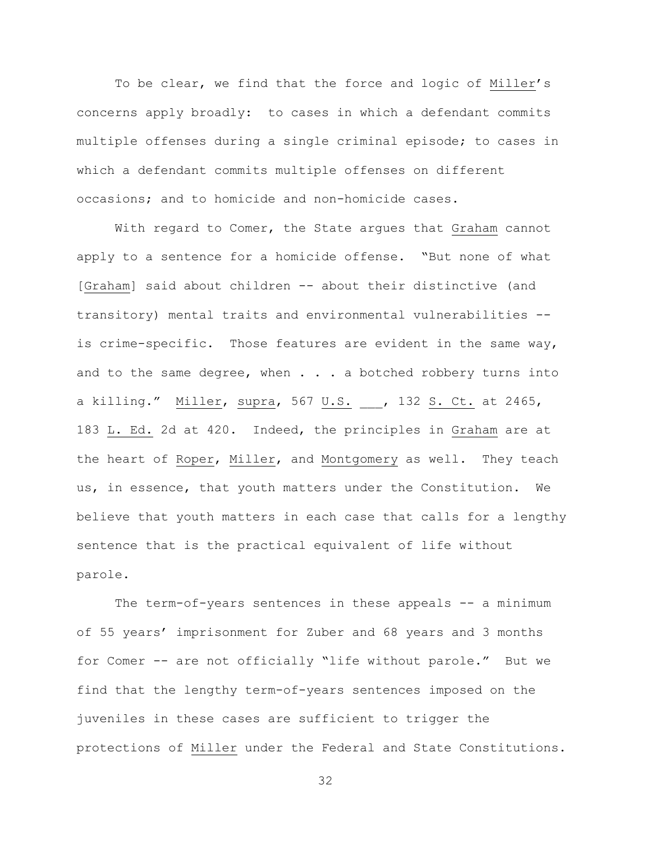To be clear, we find that the force and logic of Miller's concerns apply broadly: to cases in which a defendant commits multiple offenses during a single criminal episode; to cases in which a defendant commits multiple offenses on different occasions; and to homicide and non-homicide cases.

With regard to Comer, the State argues that Graham cannot apply to a sentence for a homicide offense. "But none of what [Graham] said about children -- about their distinctive (and transitory) mental traits and environmental vulnerabilities - is crime-specific. Those features are evident in the same way, and to the same degree, when . . . a botched robbery turns into a killing." Miller, supra, 567 U.S. , 132 S. Ct. at 2465, 183 L. Ed. 2d at 420. Indeed, the principles in Graham are at the heart of Roper, Miller, and Montgomery as well. They teach us, in essence, that youth matters under the Constitution. We believe that youth matters in each case that calls for a lengthy sentence that is the practical equivalent of life without parole.

The term-of-years sentences in these appeals -- a minimum of 55 years' imprisonment for Zuber and 68 years and 3 months for Comer -- are not officially "life without parole." But we find that the lengthy term-of-years sentences imposed on the juveniles in these cases are sufficient to trigger the protections of Miller under the Federal and State Constitutions.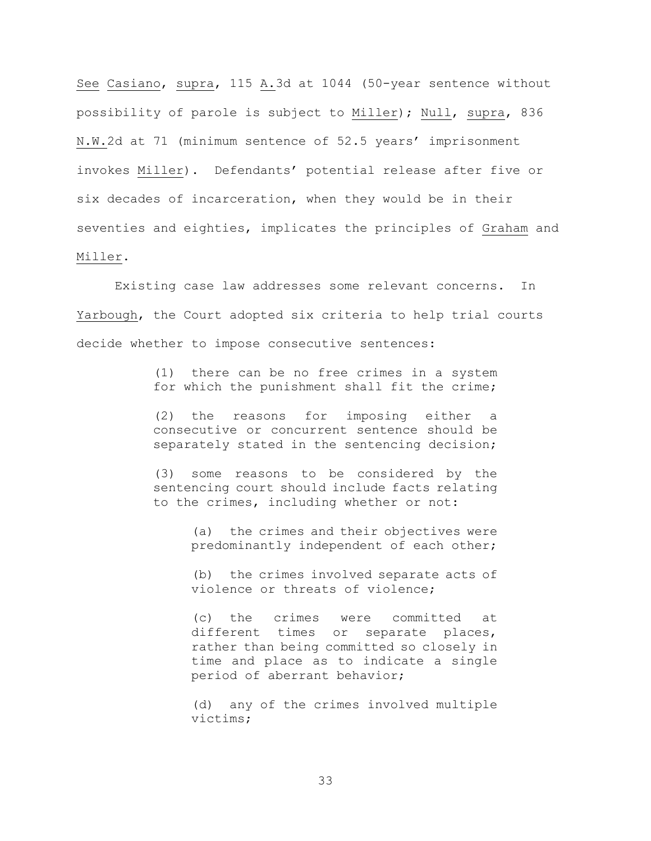See Casiano, supra, 115 A.3d at 1044 (50-year sentence without possibility of parole is subject to Miller); Null, supra, 836 N.W.2d at 71 (minimum sentence of 52.5 years' imprisonment invokes Miller). Defendants' potential release after five or six decades of incarceration, when they would be in their seventies and eighties, implicates the principles of Graham and Miller.

Existing case law addresses some relevant concerns. In Yarbough, the Court adopted six criteria to help trial courts decide whether to impose consecutive sentences:

> (1) there can be no free crimes in a system for which the punishment shall fit the crime;

> (2) the reasons for imposing either a consecutive or concurrent sentence should be separately stated in the sentencing decision;

> (3) some reasons to be considered by the sentencing court should include facts relating to the crimes, including whether or not:

> > (a) the crimes and their objectives were predominantly independent of each other;

> > (b) the crimes involved separate acts of violence or threats of violence;

> > (c) the crimes were committed at different times or separate places, rather than being committed so closely in time and place as to indicate a single period of aberrant behavior;

> > (d) any of the crimes involved multiple victims;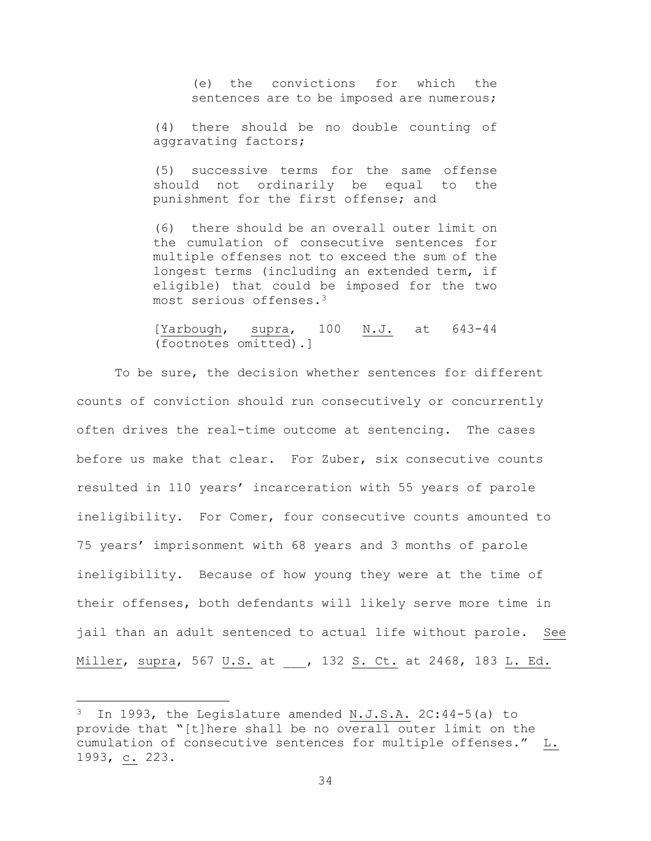(e) the convictions for which the sentences are to be imposed are numerous;

(4) there should be no double counting of aggravating factors;

(5) successive terms for the same offense should not ordinarily be equal to the punishment for the first offense; and

(6) there should be an overall outer limit on the cumulation of consecutive sentences for multiple offenses not to exceed the sum of the longest terms (including an extended term, if eligible) that could be imposed for the two most serious offenses.<sup>3</sup>

[Yarbough, supra, 100 N.J. at 643-44 (footnotes omitted).]

To be sure, the decision whether sentences for different counts of conviction should run consecutively or concurrently often drives the real-time outcome at sentencing. The cases before us make that clear. For Zuber, six consecutive counts resulted in 110 years' incarceration with 55 years of parole ineligibility. For Comer, four consecutive counts amounted to 75 years' imprisonment with 68 years and 3 months of parole ineligibility. Because of how young they were at the time of their offenses, both defendants will likely serve more time in jail than an adult sentenced to actual life without parole. See Miller, supra, 567 U.S. at \_\_\_, 132 S. Ct. at 2468, 183 L. Ed.

l

 $3$  In 1993, the Legislature amended N.J.S.A. 2C:44-5(a) to provide that "[t]here shall be no overall outer limit on the cumulation of consecutive sentences for multiple offenses." L. 1993, c. 223.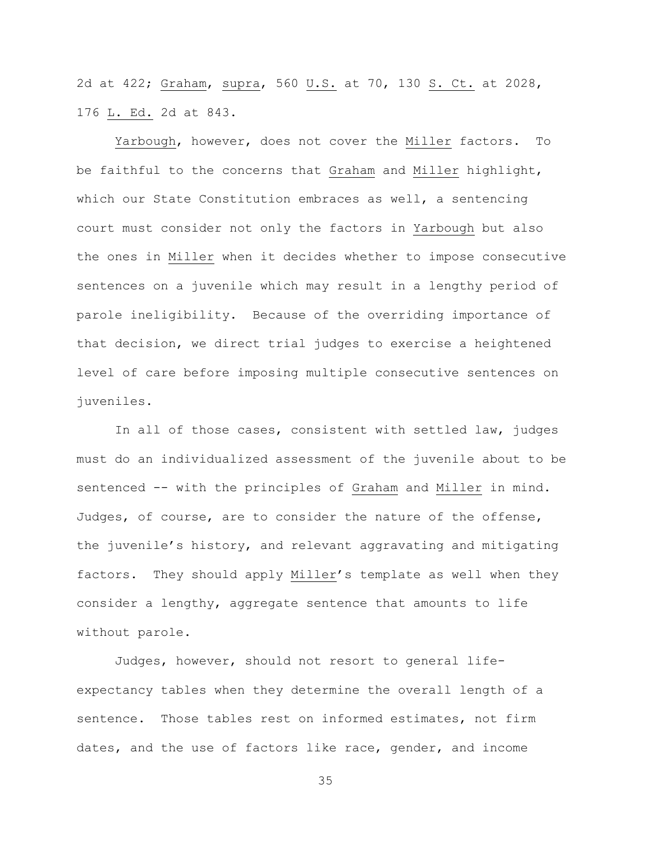2d at 422; Graham, supra, 560 U.S. at 70, 130 S. Ct. at 2028, 176 L. Ed. 2d at 843.

Yarbough, however, does not cover the Miller factors. To be faithful to the concerns that Graham and Miller highlight, which our State Constitution embraces as well, a sentencing court must consider not only the factors in Yarbough but also the ones in Miller when it decides whether to impose consecutive sentences on a juvenile which may result in a lengthy period of parole ineligibility. Because of the overriding importance of that decision, we direct trial judges to exercise a heightened level of care before imposing multiple consecutive sentences on juveniles.

In all of those cases, consistent with settled law, judges must do an individualized assessment of the juvenile about to be sentenced -- with the principles of Graham and Miller in mind. Judges, of course, are to consider the nature of the offense, the juvenile's history, and relevant aggravating and mitigating factors. They should apply Miller's template as well when they consider a lengthy, aggregate sentence that amounts to life without parole.

Judges, however, should not resort to general lifeexpectancy tables when they determine the overall length of a sentence. Those tables rest on informed estimates, not firm dates, and the use of factors like race, gender, and income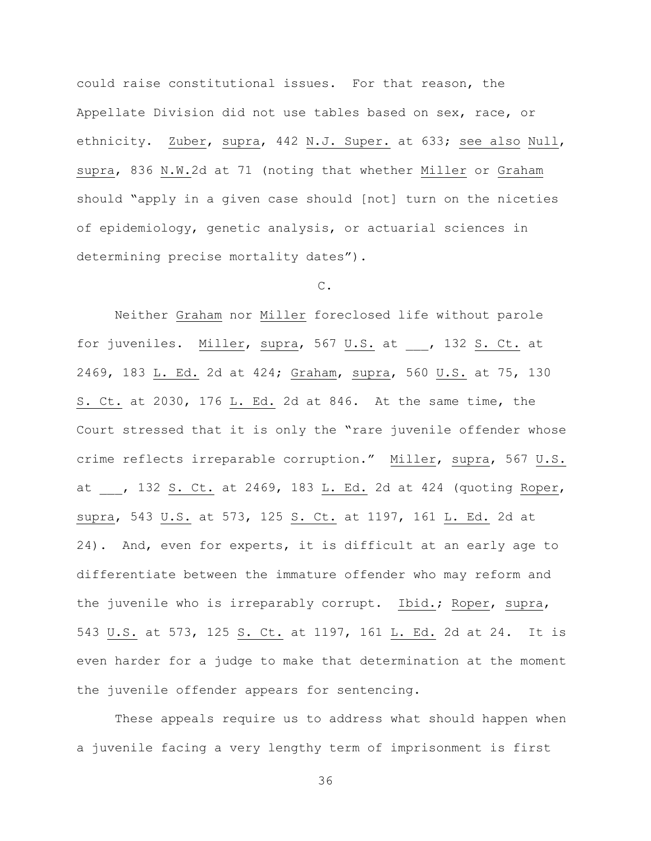could raise constitutional issues. For that reason, the Appellate Division did not use tables based on sex, race, or ethnicity. Zuber, supra, 442 N.J. Super. at 633; see also Null, supra, 836 N.W.2d at 71 (noting that whether Miller or Graham should "apply in a given case should [not] turn on the niceties of epidemiology, genetic analysis, or actuarial sciences in determining precise mortality dates").

## C.

Neither Graham nor Miller foreclosed life without parole for juveniles. Miller, supra, 567 U.S. at \_\_\_, 132 S. Ct. at 2469, 183 L. Ed. 2d at 424; Graham, supra, 560 U.S. at 75, 130 S. Ct. at 2030, 176 L. Ed. 2d at 846. At the same time, the Court stressed that it is only the "rare juvenile offender whose crime reflects irreparable corruption." Miller, supra, 567 U.S. at , 132 S. Ct. at 2469, 183 L. Ed. 2d at 424 (quoting Roper, supra, 543 U.S. at 573, 125 S. Ct. at 1197, 161 L. Ed. 2d at 24). And, even for experts, it is difficult at an early age to differentiate between the immature offender who may reform and the juvenile who is irreparably corrupt. Ibid.; Roper, supra, 543 U.S. at 573, 125 S. Ct. at 1197, 161 L. Ed. 2d at 24. It is even harder for a judge to make that determination at the moment the juvenile offender appears for sentencing.

These appeals require us to address what should happen when a juvenile facing a very lengthy term of imprisonment is first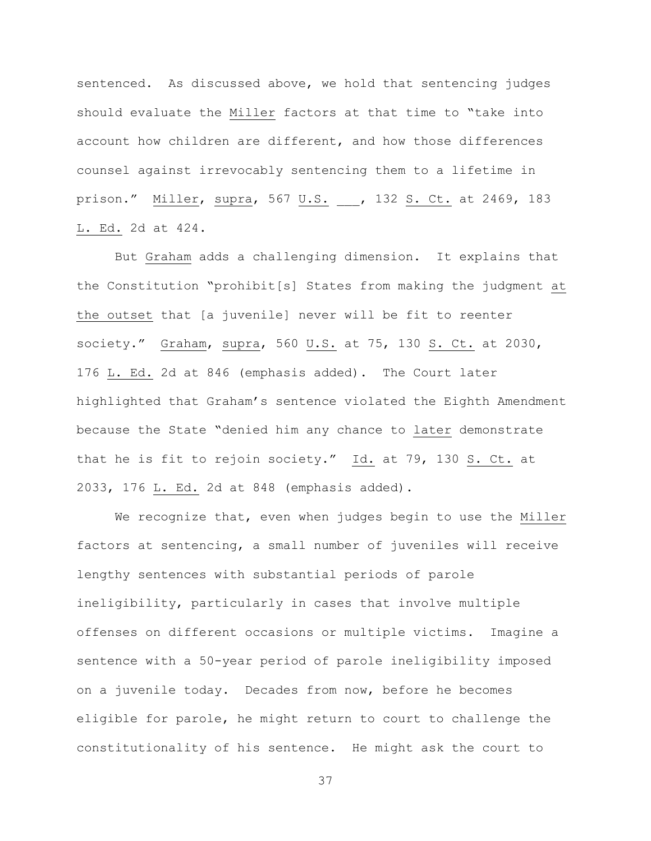sentenced. As discussed above, we hold that sentencing judges should evaluate the Miller factors at that time to "take into account how children are different, and how those differences counsel against irrevocably sentencing them to a lifetime in prison." Miller, supra, 567 U.S. \_\_\_, 132 S. Ct. at 2469, 183 L. Ed. 2d at 424.

But Graham adds a challenging dimension. It explains that the Constitution "prohibit[s] States from making the judgment at the outset that [a juvenile] never will be fit to reenter society." Graham, supra, 560 U.S. at 75, 130 S. Ct. at 2030, 176 L. Ed. 2d at 846 (emphasis added). The Court later highlighted that Graham's sentence violated the Eighth Amendment because the State "denied him any chance to later demonstrate that he is fit to rejoin society."  $\underline{Id.}$  at 79, 130  $\underline{S.}$  Ct. at 2033, 176 L. Ed. 2d at 848 (emphasis added).

We recognize that, even when judges begin to use the Miller factors at sentencing, a small number of juveniles will receive lengthy sentences with substantial periods of parole ineligibility, particularly in cases that involve multiple offenses on different occasions or multiple victims. Imagine a sentence with a 50-year period of parole ineligibility imposed on a juvenile today. Decades from now, before he becomes eligible for parole, he might return to court to challenge the constitutionality of his sentence. He might ask the court to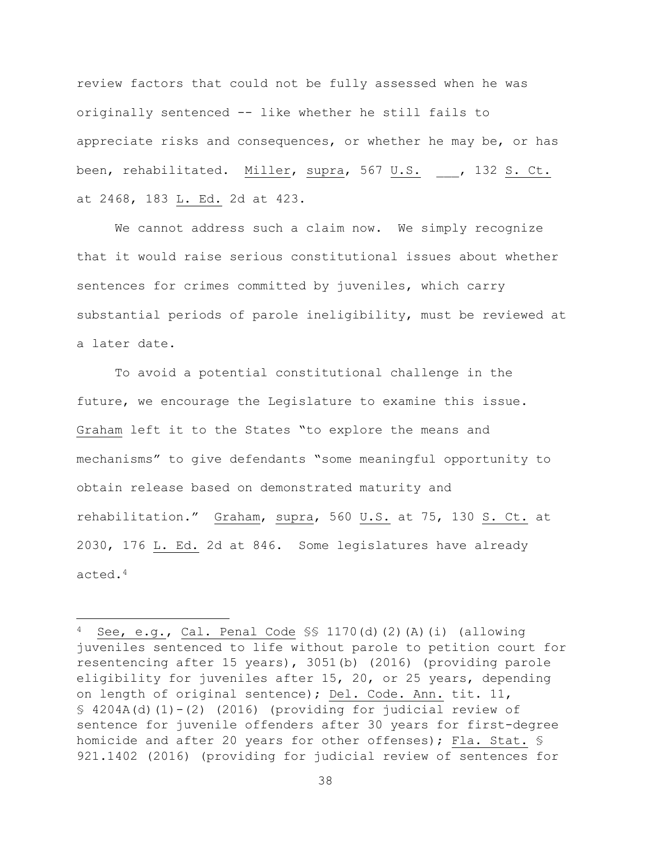review factors that could not be fully assessed when he was originally sentenced -- like whether he still fails to appreciate risks and consequences, or whether he may be, or has been, rehabilitated. Miller, supra, 567 U.S. \_\_\_, 132 S. Ct. at 2468, 183 L. Ed. 2d at 423.

We cannot address such a claim now. We simply recognize that it would raise serious constitutional issues about whether sentences for crimes committed by juveniles, which carry substantial periods of parole ineligibility, must be reviewed at a later date.

To avoid a potential constitutional challenge in the future, we encourage the Legislature to examine this issue. Graham left it to the States "to explore the means and mechanisms" to give defendants "some meaningful opportunity to obtain release based on demonstrated maturity and rehabilitation." Graham, supra, 560 U.S. at 75, 130 S. Ct. at 2030, 176 L. Ed. 2d at 846. Some legislatures have already acted.<sup>4</sup>

 $\overline{a}$ 

 $4$  See, e.g., Cal. Penal Code SS 1170(d)(2)(A)(i) (allowing juveniles sentenced to life without parole to petition court for resentencing after 15 years), 3051(b) (2016) (providing parole eligibility for juveniles after 15, 20, or 25 years, depending on length of original sentence); Del. Code. Ann. tit. 11,  $$4204A(d)(1)-(2) (2016)$  (providing for judicial review of sentence for juvenile offenders after 30 years for first-degree homicide and after 20 years for other offenses); Fla. Stat. § 921.1402 (2016) (providing for judicial review of sentences for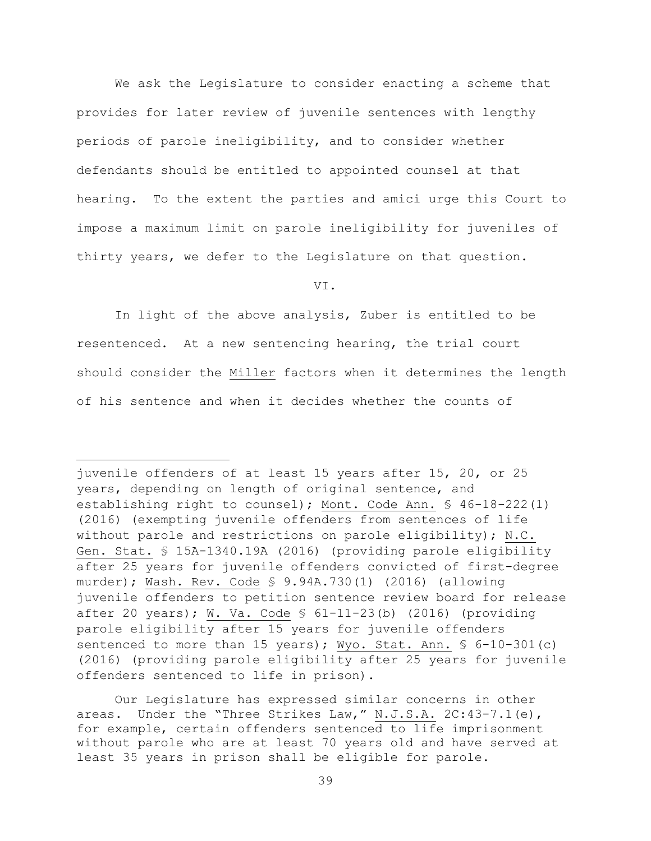We ask the Legislature to consider enacting a scheme that provides for later review of juvenile sentences with lengthy periods of parole ineligibility, and to consider whether defendants should be entitled to appointed counsel at that hearing. To the extent the parties and amici urge this Court to impose a maximum limit on parole ineligibility for juveniles of thirty years, we defer to the Legislature on that question.

VI.

In light of the above analysis, Zuber is entitled to be resentenced. At a new sentencing hearing, the trial court should consider the Miller factors when it determines the length of his sentence and when it decides whether the counts of

 $\overline{a}$ 

juvenile offenders of at least 15 years after 15, 20, or 25 years, depending on length of original sentence, and establishing right to counsel); Mont. Code Ann. § 46-18-222(1) (2016) (exempting juvenile offenders from sentences of life without parole and restrictions on parole eligibility); N.C. Gen. Stat. § 15A-1340.19A (2016) (providing parole eligibility after 25 years for juvenile offenders convicted of first-degree murder); Wash. Rev. Code § 9.94A.730(1) (2016) (allowing juvenile offenders to petition sentence review board for release after 20 years); W. Va. Code § 61-11-23(b) (2016) (providing parole eligibility after 15 years for juvenile offenders sentenced to more than 15 years); Wyo. Stat. Ann. § 6-10-301(c) (2016) (providing parole eligibility after 25 years for juvenile offenders sentenced to life in prison).

Our Legislature has expressed similar concerns in other areas. Under the "Three Strikes Law," N.J.S.A. 2C:43-7.1(e), for example, certain offenders sentenced to life imprisonment without parole who are at least 70 years old and have served at least 35 years in prison shall be eligible for parole.